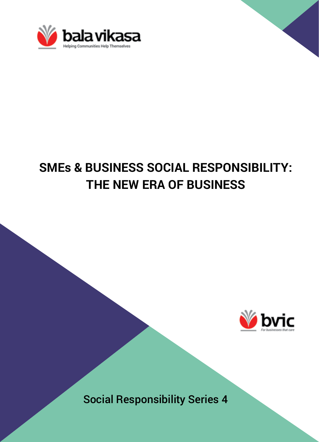

# **SMEs & BUSINESS SOCIAL RESPONSIBILITY: THE NEW ERA OF BUSINESS**



Social Responsibility Series 4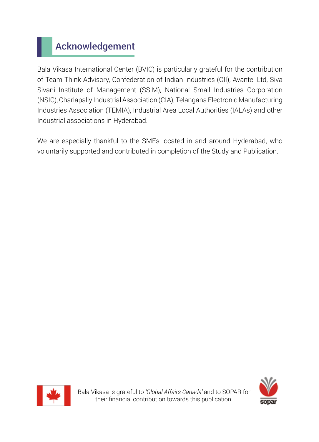# Acknowledgement

Bala Vikasa International Center (BVIC) is particularly grateful for the contribution of Team Think Advisory, Confederation of Indian Industries (CII), Avantel Ltd, Siva Sivani Institute of Management (SSIM), National Small Industries Corporation (NSIC), Charlapally Industrial Association (CIA), Telangana Electronic Manufacturing Industries Association (TEMIA), Industrial Area Local Authorities (IALAs) and other Industrial associations in Hyderabad.

We are especially thankful to the SMEs located in and around Hyderabad, who voluntarily supported and contributed in completion of the Study and Publication.



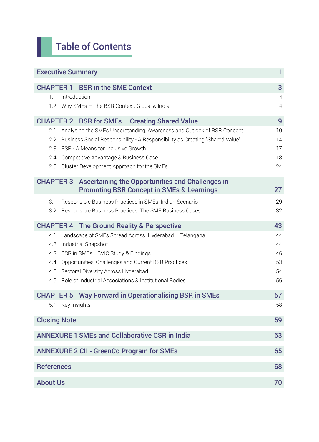# Table of Contents

| <b>Executive Summary</b><br>1                                                                    |                |  |
|--------------------------------------------------------------------------------------------------|----------------|--|
| <b>BSR in the SME Context</b><br><b>CHAPTER 1</b>                                                | 3              |  |
| 1.1<br>Introduction                                                                              | $\overline{4}$ |  |
| Why SMEs - The BSR Context: Global & Indian<br>12                                                | 4              |  |
| CHAPTER 2 BSR for SMEs - Creating Shared Value                                                   | 9              |  |
| Analysing the SMEs Understanding, Awareness and Outlook of BSR Concept<br>2.1                    | 10             |  |
| Business Social Responsibility - A Responsibility as Creating "Shared Value"<br>$2.2\phantom{0}$ | 14<br>17       |  |
| 2.3 BSR - A Means for Inclusive Growth                                                           |                |  |
| 2.4 Competitive Advantage & Business Case                                                        | 18             |  |
| 2.5 Cluster Development Approach for the SMEs                                                    | 24             |  |
| <b>CHAPTER 3</b><br>Ascertaining the Opportunities and Challenges in                             |                |  |
| <b>Promoting BSR Concept in SMEs &amp; Learnings</b>                                             | 27             |  |
| Responsible Business Practices in SMEs: Indian Scenario<br>3.1                                   | 29             |  |
| 3.2<br>Responsible Business Practices: The SME Business Cases                                    | 32             |  |
| <b>CHAPTER 4 The Ground Reality &amp; Perspective</b>                                            | 43             |  |
| Landscape of SMEs Spread Across Hyderabad - Telangana<br>4.1                                     | 44             |  |
| 4.2<br>Industrial Snapshot                                                                       | 44             |  |
| 4.3 BSR in SMEs - BVIC Study & Findings                                                          |                |  |
| 4.4 Opportunities, Challenges and Current BSR Practices                                          |                |  |
| 4.5 Sectoral Diversity Across Hyderabad                                                          |                |  |
| 4.6 Role of Industrial Associations & Institutional Bodies                                       | 56             |  |
| <b>CHAPTER 5 Way Forward in Operationalising BSR in SMEs</b>                                     | 57             |  |
| 5.1 Key Insights                                                                                 | 58             |  |
| <b>Closing Note</b><br>59                                                                        |                |  |
| <b>ANNEXURE 1 SMEs and Collaborative CSR in India</b><br>63                                      |                |  |
| <b>ANNEXURE 2 CII - GreenCo Program for SMEs</b><br>65                                           |                |  |
| <b>References</b><br>68                                                                          |                |  |
|                                                                                                  |                |  |
| <b>About Us</b><br>70                                                                            |                |  |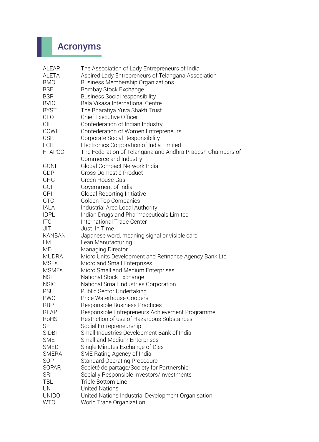# Acronyms

| ALEAP          | The Association of Lady Entrepreneurs of India             |  |  |  |
|----------------|------------------------------------------------------------|--|--|--|
| ALETA          | Aspired Lady Entrepreneurs of Telangana Association        |  |  |  |
| <b>BMO</b>     | <b>Business Membership Organizations</b>                   |  |  |  |
| <b>BSE</b>     | Bombay Stock Exchange                                      |  |  |  |
| <b>BSR</b>     | <b>Business Social responsibility</b>                      |  |  |  |
| <b>BVIC</b>    | Bala Vikasa International Centre                           |  |  |  |
| <b>BYST</b>    | The Bharatiya Yuva Shakti Trust                            |  |  |  |
| CEO            | <b>Chief Executive Officer</b>                             |  |  |  |
| CII            | Confederation of Indian Industry                           |  |  |  |
| COWE           | Confederation of Women Entrepreneurs                       |  |  |  |
| <b>CSR</b>     | Corporate Social Responsibility                            |  |  |  |
| <b>ECIL</b>    | Electronics Corporation of India Limited                   |  |  |  |
| <b>FTAPCCI</b> | The Federation of Telangana and Andhra Pradesh Chambers of |  |  |  |
|                | Commerce and Industry                                      |  |  |  |
| <b>GCNI</b>    | Global Compact Network India                               |  |  |  |
| GDP            | Gross Domestic Product                                     |  |  |  |
| GHG            | Green House Gas                                            |  |  |  |
| <b>GOI</b>     | Government of India                                        |  |  |  |
| GRI            | Global Reporting Initiative                                |  |  |  |
| GTC            | Golden Top Companies                                       |  |  |  |
| <b>IALA</b>    | Industrial Area Local Authority                            |  |  |  |
| <b>IDPL</b>    | Indian Drugs and Pharmaceuticals Limited                   |  |  |  |
| <b>ITC</b>     | International Trade Center                                 |  |  |  |
| JIT            | Just In Time                                               |  |  |  |
| <b>KANBAN</b>  | Japanese word, meaning signal or visible card              |  |  |  |
| LМ             | Lean Manufacturing                                         |  |  |  |
| <b>MD</b>      | Managing Director                                          |  |  |  |
| <b>MUDRA</b>   | Micro Units Development and Refinance Agency Bank Ltd      |  |  |  |
| <b>MSEs</b>    | Micro and Small Enterprises                                |  |  |  |
| <b>MSMEs</b>   | Micro Small and Medium Enterprises                         |  |  |  |
| <b>NSE</b>     | National Stock Exchange                                    |  |  |  |
| <b>NSIC</b>    | National Small Industries Corporation                      |  |  |  |
| <b>PSU</b>     | Public Sector Undertaking                                  |  |  |  |
| <b>PWC</b>     | Price Waterhouse Coopers                                   |  |  |  |
| <b>RBP</b>     | Responsible Business Practices                             |  |  |  |
| REAP           | Responsible Entrepreneurs Achievement Programme            |  |  |  |
| RoHS           | Restriction of use of Hazardous Substances                 |  |  |  |
| <b>SE</b>      | Social Entrepreneurship                                    |  |  |  |
| <b>SIDBI</b>   | Small Industries Development Bank of India                 |  |  |  |
| <b>SME</b>     | Small and Medium Enterprises                               |  |  |  |
| <b>SMED</b>    | Single Minutes Exchange of Dies                            |  |  |  |
| <b>SMERA</b>   | SME Rating Agency of India                                 |  |  |  |
| SOP            | Standard Operating Procedure                               |  |  |  |
| <b>SOPAR</b>   | Société de partage/Society for Partnership                 |  |  |  |
| <b>SRI</b>     | Socially Responsible Investors/Investments                 |  |  |  |
| <b>TBL</b>     | Triple Bottom Line                                         |  |  |  |
| UN             | United Nations                                             |  |  |  |
| <b>UNIDO</b>   | United Nations Industrial Development Organisation         |  |  |  |
| <b>WTO</b>     | World Trade Organization                                   |  |  |  |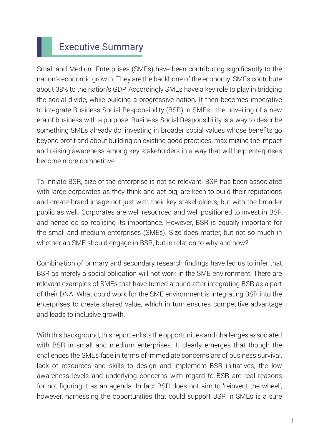# Executive Summary

Small and Medium Enterprises (SMEs) have been contributing significantly to the nation's economic growth. They are the backbone of the economy. SMEs contribute about 38% to the nation's GDP. Accordingly SMEs have a key role to play in bridging the social divide, while building a progressive nation. It then becomes imperative to integrate Business Social Responsibility (BSR) in SMEs….the unveiling of a new era of business with a purpose. Business Social Responsibility is a way to describe something SMEs already do: investing in broader social values whose benefits go beyond profit and about building on existing good practices, maximizing the impact and raising awareness among key stakeholders in a way that will help enterprises become more competitive.

To initiate BSR, size of the enterprise is not so relevant. BSR has been associated with large corporates as they think and act big, are keen to build their reputations and create brand image not just with their key stakeholders, but with the broader public as well. Corporates are well resourced and well positioned to invest in BSR and hence do so realising its importance. However, BSR is equally important for the small and medium enterprises (SMEs). Size does matter, but not so much in whether an SME should engage in BSR, but in relation to why and how?

Combination of primary and secondary research findings have led us to infer that BSR as merely a social obligation will not work in the SME environment. There are relevant examples of SMEs that have turned around after integrating BSR as a part of their DNA. What could work for the SME environment is integrating BSR into the enterprises to create shared value, which in turn ensures competitive advantage and leads to inclusive growth.

With this background, this report enlists the opportunities and challenges associated with BSR in small and medium enterprises. It clearly emerges that though the challenges the SMEs face in terms of immediate concerns are of business survival, lack of resources and skills to design and implement BSR initiatives, the low awareness levels and underlying concerns with regard to BSR are real reasons for not figuring it as an agenda. In fact BSR does not aim to 'reinvent the wheel', however, harnessing the opportunities that could support BSR in SMEs is a sure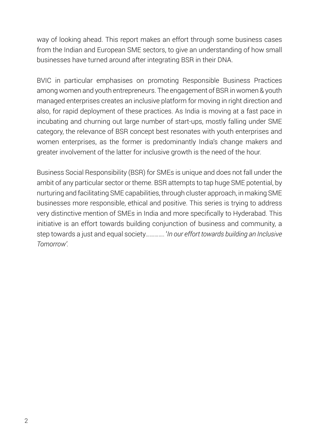way of looking ahead. This report makes an effort through some business cases from the Indian and European SME sectors, to give an understanding of how small businesses have turned around after integrating BSR in their DNA.

BVIC in particular emphasises on promoting Responsible Business Practices among women and youth entrepreneurs. The engagement of BSR in women & youth managed enterprises creates an inclusive platform for moving in right direction and also, for rapid deployment of these practices. As India is moving at a fast pace in incubating and churning out large number of start-ups, mostly falling under SME category, the relevance of BSR concept best resonates with youth enterprises and women enterprises, as the former is predominantly India's change makers and greater involvement of the latter for inclusive growth is the need of the hour.

Business Social Responsibility (BSR) for SMEs is unique and does not fall under the ambit of any particular sector or theme. BSR attempts to tap huge SME potential, by nurturing and facilitating SME capabilities, through cluster approach, in making SME businesses more responsible, ethical and positive. This series is trying to address very distinctive mention of SMEs in India and more specifically to Hyderabad. This initiative is an effort towards building conjunction of business and community, a step towards a just and equal society…………. '*In our effort towards building an Inclusive Tomorrow'.*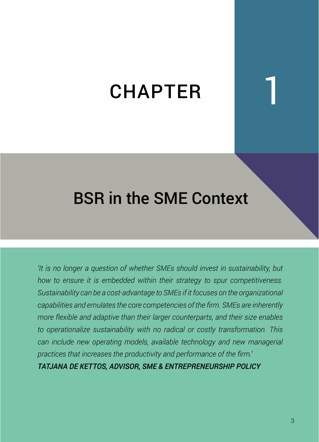# **CHAPTER**

# BSR in the SME Context

*'It is no longer a question of whether SMEs should invest in sustainability, but how to ensure it is embedded within their strategy to spur competitiveness. Sustainability can be a cost-advantage to SMEs if it focuses on the organizational capabilities and emulates the core competencies of the firm. SMEs are inherently more flexible and adaptive than their larger counterparts, and their size enables to operationalize sustainability with no radical or costly transformation. This can include new operating models, available technology and new managerial practices that increases the productivity and performance of the firm.'* 

*TATJANA DE KETTOS, ADVISOR, SME & ENTREPRENEURSHIP POLICY*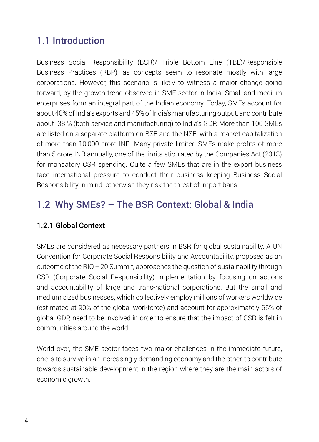# 1.1 Introduction

Business Social Responsibility (BSR)/ Triple Bottom Line (TBL)/Responsible Business Practices (RBP), as concepts seem to resonate mostly with large corporations. However, this scenario is likely to witness a major change going forward, by the growth trend observed in SME sector in India. Small and medium enterprises form an integral part of the Indian economy. Today, SMEs account for about 40% of India's exports and 45% of India's manufacturing output, and contribute about 38 % (both service and manufacturing) to India's GDP. More than 100 SMEs are listed on a separate platform on BSE and the NSE, with a market capitalization of more than 10,000 crore INR. Many private limited SMEs make profits of more than 5 crore INR annually, one of the limits stipulated by the Companies Act (2013) for mandatory CSR spending. Quite a few SMEs that are in the export business face international pressure to conduct their business keeping Business Social Responsibility in mind; otherwise they risk the threat of import bans.

# 1.2 Why SMEs? – The BSR Context: Global & India

### 1.2.1 Global Context

SMEs are considered as necessary partners in BSR for global sustainability. A UN Convention for Corporate Social Responsibility and Accountability, proposed as an outcome of the RIO + 20 Summit, approaches the question of sustainability through CSR (Corporate Social Responsibility) implementation by focusing on actions and accountability of large and trans-national corporations. But the small and medium sized businesses, which collectively employ millions of workers worldwide (estimated at 90% of the global workforce) and account for approximately 65% of global GDP, need to be involved in order to ensure that the impact of CSR is felt in communities around the world.

World over, the SME sector faces two major challenges in the immediate future, one is to survive in an increasingly demanding economy and the other, to contribute towards sustainable development in the region where they are the main actors of economic growth.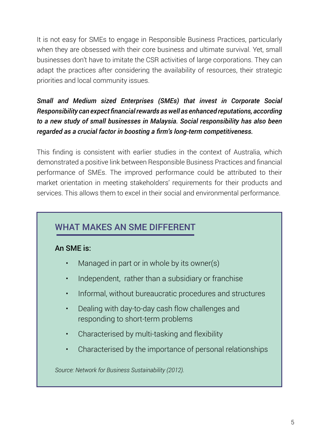It is not easy for SMEs to engage in Responsible Business Practices, particularly when they are obsessed with their core business and ultimate survival. Yet, small businesses don't have to imitate the CSR activities of large corporations. They can adapt the practices after considering the availability of resources, their strategic priorities and local community issues.

### *Small and Medium sized Enterprises (SMEs) that invest in Corporate Social Responsibility can expect financial rewards as well as enhanced reputations, according to a new study of small businesses in Malaysia. Social responsibility has also been regarded as a crucial factor in boosting a firm's long-term competitiveness.*

This finding is consistent with earlier studies in the context of Australia, which demonstrated a positive link between Responsible Business Practices and financial performance of SMEs. The improved performance could be attributed to their market orientation in meeting stakeholders' requirements for their products and services. This allows them to excel in their social and environmental performance.

# WHAT MAKES AN SME DIFFERENT

#### An SME is:

- Managed in part or in whole by its owner(s)
- Independent, rather than a subsidiary or franchise
- Informal, without bureaucratic procedures and structures
- Dealing with day-to-day cash flow challenges and responding to short-term problems
- Characterised by multi-tasking and flexibility
- Characterised by the importance of personal relationships

*Source: Network for Business Sustainability (2012).*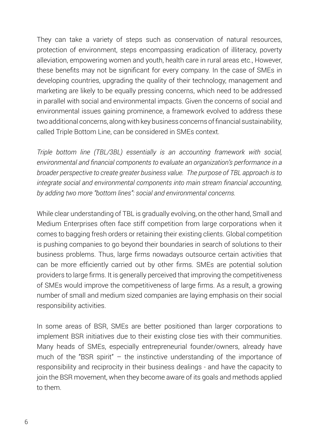They can take a variety of steps such as conservation of natural resources, protection of environment, steps encompassing eradication of illiteracy, poverty alleviation, empowering women and youth, health care in rural areas etc., However, these benefits may not be significant for every company. In the case of SMEs in developing countries, upgrading the quality of their technology, management and marketing are likely to be equally pressing concerns, which need to be addressed in parallel with social and environmental impacts. Given the concerns of social and environmental issues gaining prominence, a framework evolved to address these two additional concerns, along with key business concerns of financial sustainability, called Triple Bottom Line, can be considered in SMEs context.

*Triple bottom line (TBL/3BL) essentially is an accounting framework with social, environmental and financial components to evaluate an organization's performance in a broader perspective to create greater business value. The purpose of TBL approach is to integrate social and environmental components into main stream financial accounting, by adding two more "bottom lines": social and environmental concerns.* 

While clear understanding of TBL is gradually evolving, on the other hand, Small and Medium Enterprises often face stiff competition from large corporations when it comes to bagging fresh orders or retaining their existing clients. Global competition is pushing companies to go beyond their boundaries in search of solutions to their business problems. Thus, large firms nowadays outsource certain activities that can be more efficiently carried out by other firms. SMEs are potential solution providers to large firms. It is generally perceived that improving the competitiveness of SMEs would improve the competitiveness of large firms. As a result, a growing number of small and medium sized companies are laying emphasis on their social responsibility activities.

In some areas of BSR, SMEs are better positioned than larger corporations to implement BSR initiatives due to their existing close ties with their communities. Many heads of SMEs, especially entrepreneurial founder/owners, already have much of the "BSR spirit" – the instinctive understanding of the importance of responsibility and reciprocity in their business dealings - and have the capacity to join the BSR movement, when they become aware of its goals and methods applied to them.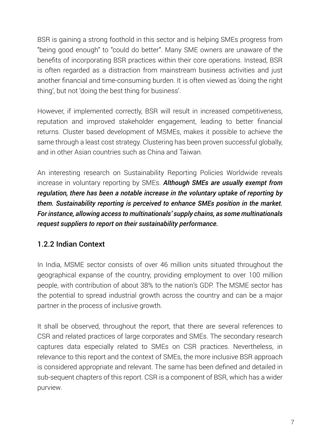BSR is gaining a strong foothold in this sector and is helping SMEs progress from "being good enough" to "could do better". Many SME owners are unaware of the benefits of incorporating BSR practices within their core operations. Instead, BSR is often regarded as a distraction from mainstream business activities and just another financial and time-consuming burden. It is often viewed as 'doing the right thing', but not 'doing the best thing for business'.

However, if implemented correctly, BSR will result in increased competitiveness, reputation and improved stakeholder engagement, leading to better financial returns. Cluster based development of MSMEs, makes it possible to achieve the same through a least cost strategy. Clustering has been proven successful globally, and in other Asian countries such as China and Taiwan.

An interesting research on Sustainability Reporting Policies Worldwide reveals increase in voluntary reporting by SMEs. *Although SMEs are usually exempt from regulation, there has been a notable increase in the voluntary uptake of reporting by them. Sustainability reporting is perceived to enhance SMEs position in the market. For instance, allowing access to multinationals' supply chains, as some multinationals request suppliers to report on their sustainability performance.*

### 1.2.2 Indian Context

In India, MSME sector consists of over 46 million units situated throughout the geographical expanse of the country, providing employment to over 100 million people, with contribution of about 38% to the nation's GDP. The MSME sector has the potential to spread industrial growth across the country and can be a major partner in the process of inclusive growth.

It shall be observed, throughout the report, that there are several references to CSR and related practices of large corporates and SMEs. The secondary research captures data especially related to SMEs on CSR practices. Nevertheless, in relevance to this report and the context of SMEs, the more inclusive BSR approach is considered appropriate and relevant. The same has been defined and detailed in sub-sequent chapters of this report. CSR is a component of BSR, which has a wider purview.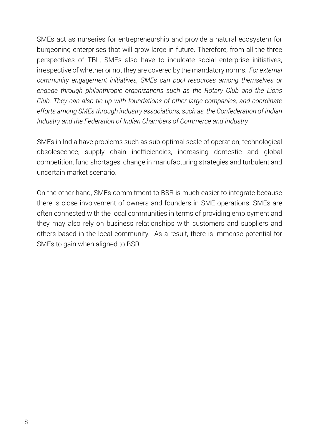SMEs act as nurseries for entrepreneurship and provide a natural ecosystem for burgeoning enterprises that will grow large in future. Therefore, from all the three perspectives of TBL, SMEs also have to inculcate social enterprise initiatives, irrespective of whether or not they are covered by the mandatory norms. *For external community engagement initiatives, SMEs can pool resources among themselves or engage through philanthropic organizations such as the Rotary Club and the Lions Club. They can also tie up with foundations of other large companies, and coordinate efforts among SMEs through industry associations, such as, the Confederation of Indian Industry and the Federation of Indian Chambers of Commerce and Industry.*

SMEs in India have problems such as sub-optimal scale of operation, technological obsolescence, supply chain inefficiencies, increasing domestic and global competition, fund shortages, change in manufacturing strategies and turbulent and uncertain market scenario.

On the other hand, SMEs commitment to BSR is much easier to integrate because there is close involvement of owners and founders in SME operations. SMEs are often connected with the local communities in terms of providing employment and they may also rely on business relationships with customers and suppliers and others based in the local community. As a result, there is immense potential for SMEs to gain when aligned to BSR.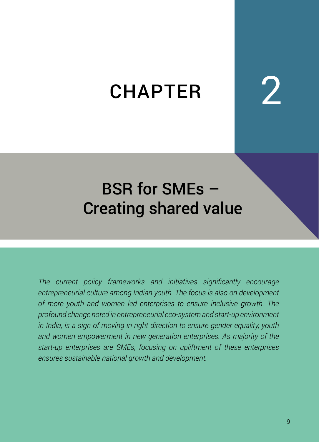# **CHAPTER**

# BSR for SMEs – Creating shared value

*The current policy frameworks and initiatives significantly encourage entrepreneurial culture among Indian youth. The focus is also on development of more youth and women led enterprises to ensure inclusive growth. The profound change noted in entrepreneurial eco-system and start-up environment in India, is a sign of moving in right direction to ensure gender equality, youth and women empowerment in new generation enterprises. As majority of the start-up enterprises are SMEs, focusing on upliftment of these enterprises ensures sustainable national growth and development.*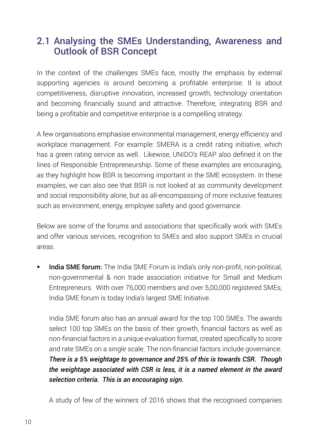# 2.1 Analysing the SMEs Understanding, Awareness and Outlook of BSR Concept

In the context of the challenges SMEs face, mostly the emphasis by external supporting agencies is around becoming a profitable enterprise. It is about competitiveness, disruptive innovation, increased growth, technology orientation and becoming financially sound and attractive. Therefore, integrating BSR and being a profitable and competitive enterprise is a compelling strategy.

A few organisations emphasise environmental management, energy efficiency and workplace management. For example: SMERA is a credit rating initiative, which has a green rating service as well. Likewise, UNIDO's REAP also defined it on the lines of Responsible Entrepreneurship. Some of these examples are encouraging, as they highlight how BSR is becoming important in the SME ecosystem. In these examples, we can also see that BSR is not looked at as community development and social responsibility alone, but as all-encompassing of more inclusive features such as environment, energy, employee safety and good governance.

Below are some of the forums and associations that specifically work with SMEs and offer various services, recognition to SMEs and also support SMEs in crucial areas.

India SME forum: The India SME Forum is India's only non-profit, non-political, non-governmental & non trade association initiative for Small and Medium Entrepreneurs. With over 76,000 members and over 5,00,000 registered SMEs, India SME forum is today India's largest SME Initiative.

India SME forum also has an annual award for the top 100 SMEs. The awards select 100 top SMEs on the basis of their growth, financial factors as well as non-financial factors in a unique evaluation format, created specifically to score and rate SMEs on a single scale. The non-financial factors include governance. *There is a 5% weightage to governance and 25% of this is towards CSR. Though the weightage associated with CSR is less, it is a named element in the award selection criteria. This is an encouraging sign.*

A study of few of the winners of 2016 shows that the recognised companies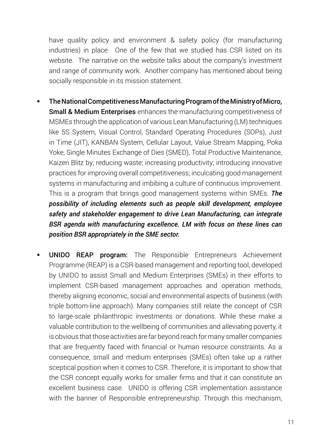have quality policy and environment & safety policy (for manufacturing industries) in place. One of the few that we studied has CSR listed on its website. The narrative on the website talks about the company's investment and range of community work. Another company has mentioned about being socially responsible in its mission statement.

- The National Competitiveness Manufacturing Program of the Ministry of Micro, **Small & Medium Enterprises** enhances the manufacturing competitiveness of MSMEs through the application of various Lean Manufacturing (LM) techniques like 5S System, Visual Control, Standard Operating Procedures (SOPs), Just in Time (JIT), KANBAN System, Cellular Layout, Value Stream Mapping, Poka Yoke, Single Minutes Exchange of Dies (SMED), Total Productive Maintenance, Kaizen Blitz by; reducing waste; increasing productivity; introducing innovative practices for improving overall competitiveness; inculcating good management systems in manufacturing and imbibing a culture of continuous improvement. This is a program that brings good management systems within SMEs. *The possibility of including elements such as people skill development, employee safety and stakeholder engagement to drive Lean Manufacturing, can integrate BSR agenda with manufacturing excellence. LM with focus on these lines can position BSR appropriately in the SME sector.*
- UNIDO REAP program: The Responsible Entrepreneurs Achievement Programme (REAP) is a CSR-based management and reporting tool, developed by UNIDO to assist Small and Medium Enterprises (SMEs) in their efforts to implement CSR-based management approaches and operation methods, thereby aligning economic, social and environmental aspects of business (with triple bottom-line approach). Many companies still relate the concept of CSR to large-scale philanthropic investments or donations. While these make a valuable contribution to the wellbeing of communities and alleviating poverty, it is obvious that those activities are far beyond reach for many smaller companies that are frequently faced with financial or human resource constraints. As a consequence, small and medium enterprises (SMEs) often take up a rather sceptical position when it comes to CSR. Therefore, it is important to show that the CSR concept equally works for smaller firms and that it can constitute an excellent business case. UNIDO is offering CSR implementation assistance with the banner of Responsible entrepreneurship. Through this mechanism,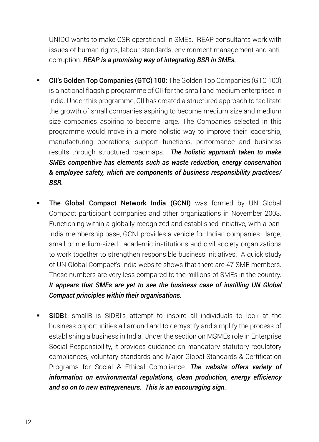UNIDO wants to make CSR operational in SMEs. REAP consultants work with issues of human rights, labour standards, environment management and anticorruption. *REAP is a promising way of integrating BSR in SMEs.* 

- CII's Golden Top Companies (GTC) 100: The Golden Top Companies (GTC 100) is a national flagship programme of CII for the small and medium enterprises in India. Under this programme, CII has created a structured approach to facilitate the growth of small companies aspiring to become medium size and medium size companies aspiring to become large. The Companies selected in this programme would move in a more holistic way to improve their leadership, manufacturing operations, support functions, performance and business results through structured roadmaps. *The holistic approach taken to make SMEs competitive has elements such as waste reduction, energy conservation & employee safety, which are components of business responsibility practices/ BSR.*
- The Global Compact Network India (GCNI) was formed by UN Global Compact participant companies and other organizations in November 2003. Functioning within a globally recognized and established initiative, with a pan-India membership base, GCNI provides a vehicle for Indian companies—large, small or medium-sized—academic institutions and civil society organizations to work together to strengthen responsible business initiatives. A quick study of UN Global Compact's India website shows that there are 47 SME members. These numbers are very less compared to the millions of SMEs in the country. *It appears that SMEs are yet to see the business case of instilling UN Global Compact principles within their organisations.*
- SIDBI: smallB is SIDBI's attempt to inspire all individuals to look at the business opportunities all around and to demystify and simplify the process of establishing a business in India. Under the section on MSMEs role in Enterprise Social Responsibility, it provides guidance on mandatory statutory regulatory compliances, voluntary standards and Major Global Standards & Certification Programs for Social & Ethical Compliance. *The website offers variety of information on environmental regulations, clean production, energy efficiency and so on to new entrepreneurs. This is an encouraging sign.*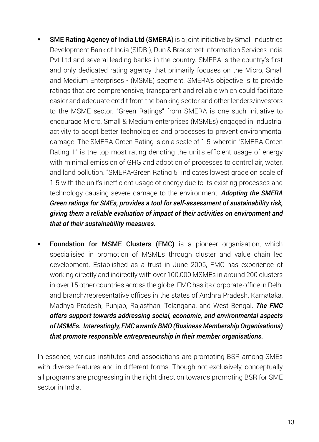- **SME Rating Agency of India Ltd (SMERA)** is a joint initiative by Small Industries Development Bank of India (SIDBI), Dun & Bradstreet Information Services India Pvt Ltd and several leading banks in the country. SMERA is the country's first and only dedicated rating agency that primarily focuses on the Micro, Small and Medium Enterprises - (MSME) segment. SMERA's objective is to provide ratings that are comprehensive, transparent and reliable which could facilitate easier and adequate credit from the banking sector and other lenders/investors to the MSME sector. "Green Ratings" from SMERA is one such initiative to encourage Micro, Small & Medium enterprises (MSMEs) engaged in industrial activity to adopt better technologies and processes to prevent environmental damage. The SMERA-Green Rating is on a scale of 1-5, wherein "SMERA-Green Rating 1" is the top most rating denoting the unit's efficient usage of energy with minimal emission of GHG and adoption of processes to control air, water, and land pollution. "SMERA-Green Rating 5" indicates lowest grade on scale of 1-5 with the unit's inefficient usage of energy due to its existing processes and technology causing severe damage to the environment. *Adopting the SMERA Green ratings for SMEs, provides a tool for self-assessment of sustainability risk, giving them a reliable evaluation of impact of their activities on environment and that of their sustainability measures.*
- Foundation for MSME Clusters (FMC) is a pioneer organisation, which specialisied in promotion of MSMEs through cluster and value chain led development. Established as a trust in June 2005, FMC has experience of working directly and indirectly with over 100,000 MSMEs in around 200 clusters in over 15 other countries across the globe. FMC has its corporate office in Delhi and branch/representative offices in the states of Andhra Pradesh, Karnataka, Madhya Pradesh, Punjab, Rajasthan, Telangana, and West Bengal. *The FMC offers support towards addressing social, economic, and environmental aspects of MSMEs. Interestingly, FMC awards BMO (Business Membership Organisations) that promote responsible entrepreneurship in their member organisations.*

In essence, various institutes and associations are promoting BSR among SMEs with diverse features and in different forms. Though not exclusively, conceptually all programs are progressing in the right direction towards promoting BSR for SME sector in India.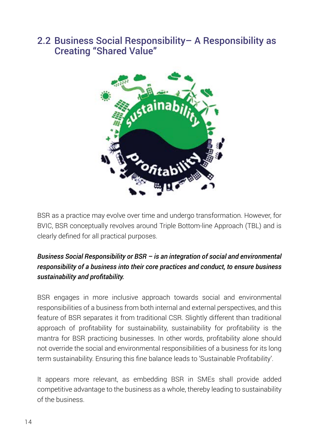# 2.2 Business Social Responsibility– A Responsibility as Creating "Shared Value"



BSR as a practice may evolve over time and undergo transformation. However, for BVIC, BSR conceptually revolves around Triple Bottom-line Approach (TBL) and is clearly defined for all practical purposes.

#### *Business Social Responsibility or BSR – is an integration of social and environmental responsibility of a business into their core practices and conduct, to ensure business sustainability and profitability.*

BSR engages in more inclusive approach towards social and environmental responsibilities of a business from both internal and external perspectives, and this feature of BSR separates it from traditional CSR. Slightly different than traditional approach of profitability for sustainability, sustainability for profitability is the mantra for BSR practicing businesses. In other words, profitability alone should not override the social and environmental responsibilities of a business for its long term sustainability. Ensuring this fine balance leads to 'Sustainable Profitability'.

It appears more relevant, as embedding BSR in SMEs shall provide added competitive advantage to the business as a whole, thereby leading to sustainability of the business.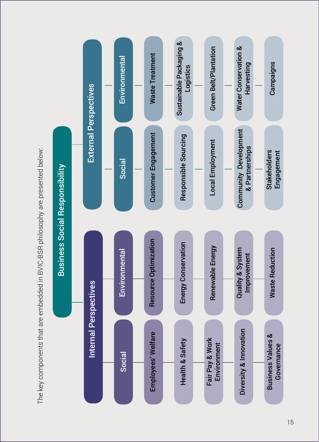The key components that are embedded in BVIC-BSR philosophy are presented below: The key components that are embedded in BVIC-BSR philosophy are presented below:

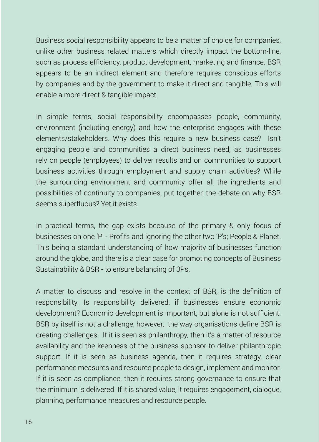Business social responsibility appears to be a matter of choice for companies, unlike other business related matters which directly impact the bottom-line, such as process efficiency, product development, marketing and finance. BSR appears to be an indirect element and therefore requires conscious efforts by companies and by the government to make it direct and tangible. This will enable a more direct & tangible impact.

In simple terms, social responsibility encompasses people, community, environment (including energy) and how the enterprise engages with these elements/stakeholders. Why does this require a new business case? Isn't engaging people and communities a direct business need, as businesses rely on people (employees) to deliver results and on communities to support business activities through employment and supply chain activities? While the surrounding environment and community offer all the ingredients and possibilities of continuity to companies, put together, the debate on why BSR seems superfluous? Yet it exists.

In practical terms, the gap exists because of the primary & only focus of businesses on one 'P' - Profits and ignoring the other two 'P's; People & Planet. This being a standard understanding of how majority of businesses function around the globe, and there is a clear case for promoting concepts of Business Sustainability & BSR - to ensure balancing of 3Ps.

A matter to discuss and resolve in the context of BSR, is the definition of responsibility. Is responsibility delivered, if businesses ensure economic development? Economic development is important, but alone is not sufficient. BSR by itself is not a challenge, however, the way organisations define BSR is creating challenges. If it is seen as philanthropy, then it's a matter of resource availability and the keenness of the business sponsor to deliver philanthropic support. If it is seen as business agenda, then it requires strategy, clear performance measures and resource people to design, implement and monitor. If it is seen as compliance, then it requires strong governance to ensure that the minimum is delivered. If it is shared value, it requires engagement, dialogue, planning, performance measures and resource people.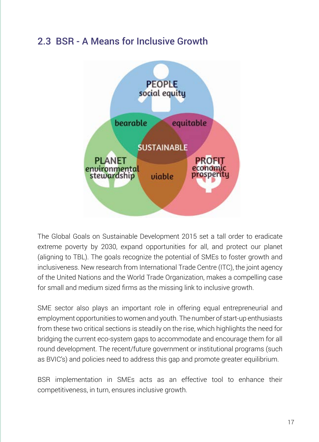# 2.3 BSR - A Means for Inclusive Growth



The Global Goals on Sustainable Development 2015 set a tall order to eradicate extreme poverty by 2030, expand opportunities for all, and protect our planet (aligning to TBL). The goals recognize the potential of SMEs to foster growth and inclusiveness. New research from International Trade Centre (ITC), the joint agency of the United Nations and the World Trade Organization, makes a compelling case for small and medium sized firms as the missing link to inclusive growth.

SME sector also plays an important role in offering equal entrepreneurial and employment opportunities to women and youth. The number of start-up enthusiasts from these two critical sections is steadily on the rise, which highlights the need for bridging the current eco-system gaps to accommodate and encourage them for all round development. The recent/future government or institutional programs (such as BVIC's) and policies need to address this gap and promote greater equilibrium.

BSR implementation in SMEs acts as an effective tool to enhance their competitiveness, in turn, ensures inclusive growth.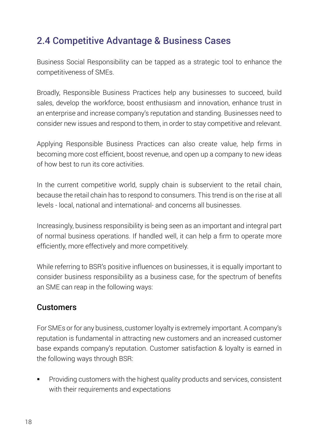# 2.4 Competitive Advantage & Business Cases

Business Social Responsibility can be tapped as a strategic tool to enhance the competitiveness of SMEs.

Broadly, Responsible Business Practices help any businesses to succeed, build sales, develop the workforce, boost enthusiasm and innovation, enhance trust in an enterprise and increase company's reputation and standing. Businesses need to consider new issues and respond to them, in order to stay competitive and relevant.

Applying Responsible Business Practices can also create value, help firms in becoming more cost efficient, boost revenue, and open up a company to new ideas of how best to run its core activities.

In the current competitive world, supply chain is subservient to the retail chain, because the retail chain has to respond to consumers. This trend is on the rise at all levels - local, national and international- and concerns all businesses.

Increasingly, business responsibility is being seen as an important and integral part of normal business operations. If handled well, it can help a firm to operate more efficiently, more effectively and more competitively.

While referring to BSR's positive influences on businesses, it is equally important to consider business responsibility as a business case, for the spectrum of benefits an SME can reap in the following ways:

#### **Customers**

For SMEs or for any business, customer loyalty is extremely important. A company's reputation is fundamental in attracting new customers and an increased customer base expands company's reputation. Customer satisfaction & loyalty is earned in the following ways through BSR:

 Providing customers with the highest quality products and services, consistent with their requirements and expectations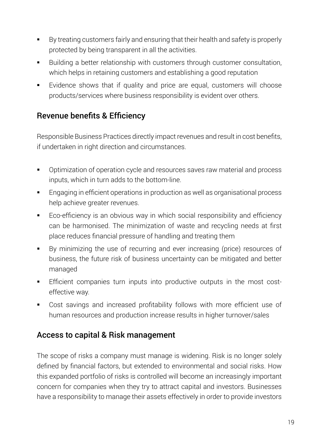- By treating customers fairly and ensuring that their health and safety is properly protected by being transparent in all the activities.
- Building a better relationship with customers through customer consultation, which helps in retaining customers and establishing a good reputation
- Evidence shows that if quality and price are equal, customers will choose products/services where business responsibility is evident over others.

# Revenue benefits & Efficiency

Responsible Business Practices directly impact revenues and result in cost benefits, if undertaken in right direction and circumstances.

- **•** Optimization of operation cycle and resources saves raw material and process inputs, which in turn adds to the bottom-line.
- **Engaging in efficient operations in production as well as organisational process** help achieve greater revenues.
- Eco-efficiency is an obvious way in which social responsibility and efficiency can be harmonised. The minimization of waste and recycling needs at first place reduces financial pressure of handling and treating them
- By minimizing the use of recurring and ever increasing (price) resources of business, the future risk of business uncertainty can be mitigated and better managed
- Efficient companies turn inputs into productive outputs in the most costeffective way.
- Cost savings and increased profitability follows with more efficient use of human resources and production increase results in higher turnover/sales

### Access to capital & Risk management

The scope of risks a company must manage is widening. Risk is no longer solely defined by financial factors, but extended to environmental and social risks. How this expanded portfolio of risks is controlled will become an increasingly important concern for companies when they try to attract capital and investors. Businesses have a responsibility to manage their assets effectively in order to provide investors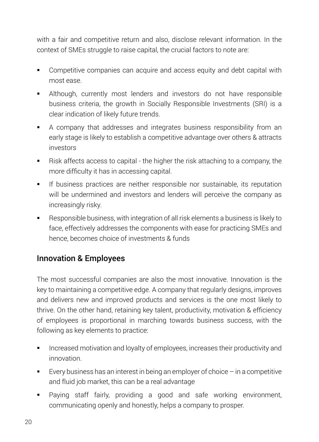with a fair and competitive return and also, disclose relevant information. In the context of SMEs struggle to raise capital, the crucial factors to note are:

- Competitive companies can acquire and access equity and debt capital with most ease.
- Although, currently most lenders and investors do not have responsible business criteria, the growth in Socially Responsible Investments (SRI) is a clear indication of likely future trends.
- A company that addresses and integrates business responsibility from an early stage is likely to establish a competitive advantage over others & attracts investors
- Risk affects access to capital the higher the risk attaching to a company, the more difficulty it has in accessing capital.
- If business practices are neither responsible nor sustainable, its reputation will be undermined and investors and lenders will perceive the company as increasingly risky.
- Responsible business, with integration of all risk elements a business is likely to face, effectively addresses the components with ease for practicing SMEs and hence, becomes choice of investments & funds

# Innovation & Employees

The most successful companies are also the most innovative. Innovation is the key to maintaining a competitive edge. A company that regularly designs, improves and delivers new and improved products and services is the one most likely to thrive. On the other hand, retaining key talent, productivity, motivation & efficiency of employees is proportional in marching towards business success, with the following as key elements to practice:

- Increased motivation and loyalty of employees, increases their productivity and innovation.
- Every business has an interest in being an employer of choice in a competitive and fluid job market, this can be a real advantage
- Paying staff fairly, providing a good and safe working environment, communicating openly and honestly, helps a company to prosper.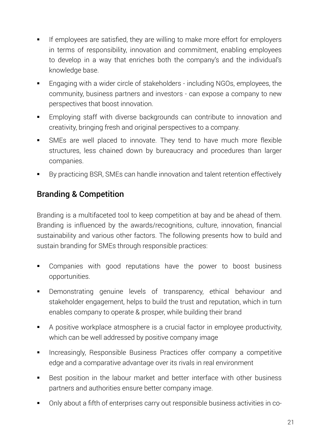- If employees are satisfied, they are willing to make more effort for employers in terms of responsibility, innovation and commitment, enabling employees to develop in a way that enriches both the company's and the individual's knowledge base.
- Engaging with a wider circle of stakeholders including NGOs, employees, the community, business partners and investors - can expose a company to new perspectives that boost innovation.
- Employing staff with diverse backgrounds can contribute to innovation and creativity, bringing fresh and original perspectives to a company.
- SMEs are well placed to innovate. They tend to have much more flexible structures, less chained down by bureaucracy and procedures than larger companies.
- By practicing BSR, SMEs can handle innovation and talent retention effectively

# Branding & Competition

Branding is a multifaceted tool to keep competition at bay and be ahead of them. Branding is influenced by the awards/recognitions, culture, innovation, financial sustainability and various other factors. The following presents how to build and sustain branding for SMEs through responsible practices:

- Companies with good reputations have the power to boost business opportunities.
- Demonstrating genuine levels of transparency, ethical behaviour and stakeholder engagement, helps to build the trust and reputation, which in turn enables company to operate & prosper, while building their brand
- A positive workplace atmosphere is a crucial factor in employee productivity, which can be well addressed by positive company image
- **Increasingly, Responsible Business Practices offer company a competitive** edge and a comparative advantage over its rivals in real environment
- Best position in the labour market and better interface with other business partners and authorities ensure better company image.
- Only about a fifth of enterprises carry out responsible business activities in co-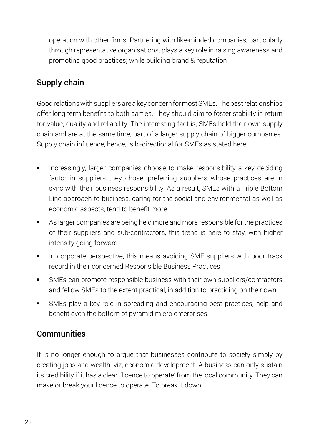operation with other firms. Partnering with like-minded companies, particularly through representative organisations, plays a key role in raising awareness and promoting good practices; while building brand & reputation

# Supply chain

Good relations with suppliers are a key concern for most SMEs. The best relationships offer long term benefits to both parties. They should aim to foster stability in return for value, quality and reliability. The interesting fact is, SMEs hold their own supply chain and are at the same time, part of a larger supply chain of bigger companies. Supply chain influence, hence, is bi-directional for SMEs as stated here:

- Increasingly, larger companies choose to make responsibility a key deciding factor in suppliers they chose, preferring suppliers whose practices are in sync with their business responsibility. As a result, SMEs with a Triple Bottom Line approach to business, caring for the social and environmental as well as economic aspects, tend to benefit more.
- As larger companies are being held more and more responsible for the practices of their suppliers and sub-contractors, this trend is here to stay, with higher intensity going forward.
- In corporate perspective, this means avoiding SME suppliers with poor track record in their concerned Responsible Business Practices.
- SMEs can promote responsible business with their own suppliers/contractors and fellow SMEs to the extent practical, in addition to practicing on their own.
- SMEs play a key role in spreading and encouraging best practices, help and benefit even the bottom of pyramid micro enterprises.

### **Communities**

It is no longer enough to argue that businesses contribute to society simply by creating jobs and wealth, viz, economic development. A business can only sustain its credibility if it has a clear 'licence to operate' from the local community. They can make or break your licence to operate. To break it down: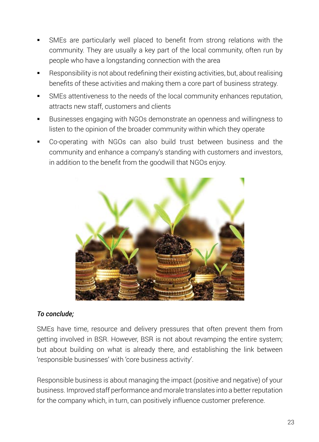- SMEs are particularly well placed to benefit from strong relations with the community. They are usually a key part of the local community, often run by people who have a longstanding connection with the area
- Responsibility is not about redefining their existing activities, but, about realising benefits of these activities and making them a core part of business strategy.
- SMEs attentiveness to the needs of the local community enhances reputation, attracts new staff, customers and clients
- Businesses engaging with NGOs demonstrate an openness and willingness to listen to the opinion of the broader community within which they operate
- Co-operating with NGOs can also build trust between business and the community and enhance a company's standing with customers and investors, in addition to the benefit from the goodwill that NGOs enjoy.



#### *To conclude;*

SMEs have time, resource and delivery pressures that often prevent them from getting involved in BSR. However, BSR is not about revamping the entire system; but about building on what is already there, and establishing the link between 'responsible businesses' with 'core business activity'.

Responsible business is about managing the impact (positive and negative) of your business. Improved staff performance and morale translates into a better reputation for the company which, in turn, can positively influence customer preference.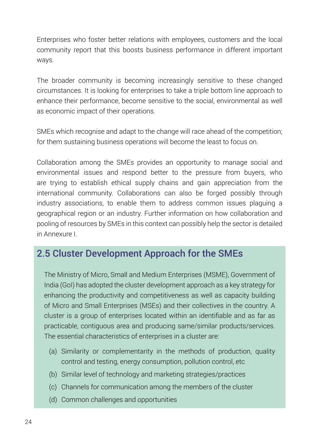Enterprises who foster better relations with employees, customers and the local community report that this boosts business performance in different important ways.

The broader community is becoming increasingly sensitive to these changed circumstances. It is looking for enterprises to take a triple bottom line approach to enhance their performance, become sensitive to the social, environmental as well as economic impact of their operations.

SMEs which recognise and adapt to the change will race ahead of the competition; for them sustaining business operations will become the least to focus on.

Collaboration among the SMEs provides an opportunity to manage social and environmental issues and respond better to the pressure from buyers, who are trying to establish ethical supply chains and gain appreciation from the international community. Collaborations can also be forged possibly through industry associations, to enable them to address common issues plaguing a geographical region or an industry. Further information on how collaboration and pooling of resources by SMEs in this context can possibly help the sector is detailed in Annexure I.

# 2.5 Cluster Development Approach for the SMEs

The Ministry of Micro, Small and Medium Enterprises (MSME), Government of India (GoI) has adopted the cluster development approach as a key strategy for enhancing the productivity and competitiveness as well as capacity building of Micro and Small Enterprises (MSEs) and their collectives in the country. A cluster is a group of enterprises located within an identifiable and as far as practicable, contiguous area and producing same/similar products/services. The essential characteristics of enterprises in a cluster are:

- (a) Similarity or complementarity in the methods of production, quality control and testing, energy consumption, pollution control, etc
- (b) Similar level of technology and marketing strategies/practices
- (c) Channels for communication among the members of the cluster
- (d) Common challenges and opportunities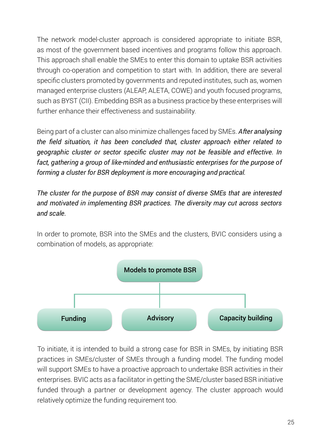The network model-cluster approach is considered appropriate to initiate BSR, as most of the government based incentives and programs follow this approach. This approach shall enable the SMEs to enter this domain to uptake BSR activities through co-operation and competition to start with. In addition, there are several specific clusters promoted by governments and reputed institutes, such as, women managed enterprise clusters (ALEAP, ALETA, COWE) and youth focused programs, such as BYST (CII). Embedding BSR as a business practice by these enterprises will further enhance their effectiveness and sustainability.

Being part of a cluster can also minimize challenges faced by SMEs. *After analysing the field situation, it has been concluded that, cluster approach either related to geographic cluster or sector specific cluster may not be feasible and effective. In fact, gathering a group of like-minded and enthusiastic enterprises for the purpose of forming a cluster for BSR deployment is more encouraging and practical.*

*The cluster for the purpose of BSR may consist of diverse SMEs that are interested and motivated in implementing BSR practices. The diversity may cut across sectors and scale.* 

In order to promote, BSR into the SMEs and the clusters, BVIC considers using a combination of models, as appropriate:



To initiate, it is intended to build a strong case for BSR in SMEs, by initiating BSR practices in SMEs/cluster of SMEs through a funding model. The funding model will support SMEs to have a proactive approach to undertake BSR activities in their enterprises. BVIC acts as a facilitator in getting the SME/cluster based BSR initiative funded through a partner or development agency. The cluster approach would relatively optimize the funding requirement too.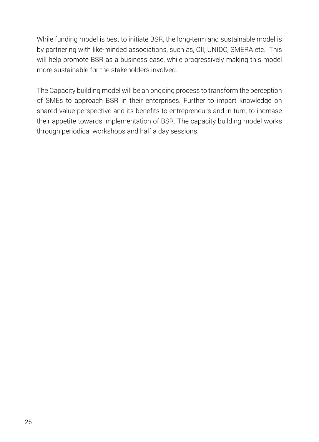While funding model is best to initiate BSR, the long-term and sustainable model is by partnering with like-minded associations, such as, CII, UNIDO, SMERA etc. This will help promote BSR as a business case, while progressively making this model more sustainable for the stakeholders involved.

The Capacity building model will be an ongoing process to transform the perception of SMEs to approach BSR in their enterprises. Further to impart knowledge on shared value perspective and its benefits to entrepreneurs and in turn, to increase their appetite towards implementation of BSR. The capacity building model works through periodical workshops and half a day sessions.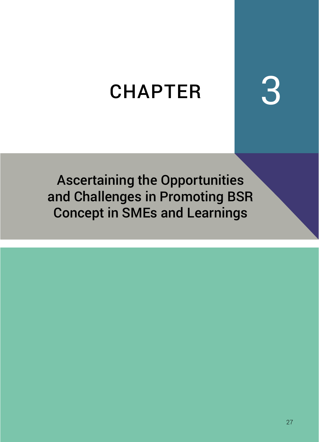# CHAPTER 3

Ascertaining the Opportunities and Challenges in Promoting BSR Concept in SMEs and Learnings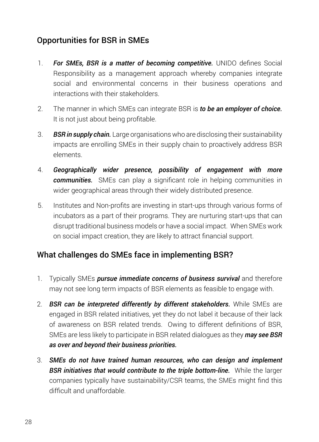# Opportunities for BSR in SMEs

- 1. *For SMEs, BSR is a matter of becoming competitive.* UNIDO defines Social Responsibility as a management approach whereby companies integrate social and environmental concerns in their business operations and interactions with their stakeholders.
- 2. The manner in which SMEs can integrate BSR is *to be an employer of choice.*  It is not just about being profitable.
- 3. *BSR in supply chain.* Large organisations who are disclosing their sustainability impacts are enrolling SMEs in their supply chain to proactively address BSR elements.
- 4. *Geographically wider presence, possibility of engagement with more communities.* SMEs can play a significant role in helping communities in wider geographical areas through their widely distributed presence.
- 5. Institutes and Non-profits are investing in start-ups through various forms of incubators as a part of their programs. They are nurturing start-ups that can disrupt traditional business models or have a social impact. When SMEs work on social impact creation, they are likely to attract financial support.

# What challenges do SMEs face in implementing BSR?

- 1. Typically SMEs *pursue immediate concerns of business survival* and therefore may not see long term impacts of BSR elements as feasible to engage with.
- 2. *BSR can be interpreted differently by different stakeholders.* While SMEs are engaged in BSR related initiatives, yet they do not label it because of their lack of awareness on BSR related trends. Owing to different definitions of BSR, SMEs are less likely to participate in BSR related dialogues as they *may see BSR as over and beyond their business priorities.*
- 3. *SMEs do not have trained human resources, who can design and implement BSR initiatives that would contribute to the triple bottom-line.* While the larger companies typically have sustainability/CSR teams, the SMEs might find this difficult and unaffordable.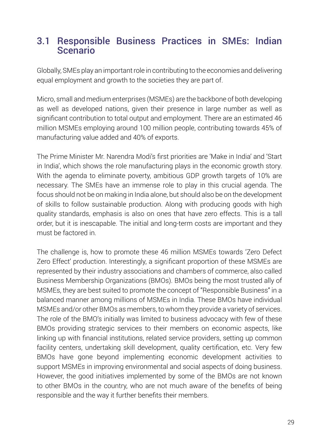# 3.1 Responsible Business Practices in SMEs: Indian Scenario

Globally, SMEs play an important role in contributing to the economies and delivering equal employment and growth to the societies they are part of.

Micro, small and medium enterprises (MSMEs) are the backbone of both developing as well as developed nations, given their presence in large number as well as significant contribution to total output and employment. There are an estimated 46 million MSMEs employing around 100 million people, contributing towards 45% of manufacturing value added and 40% of exports.

The Prime Minister Mr. Narendra Modi's first priorities are 'Make in India' and 'Start in India', which shows the role manufacturing plays in the economic growth story. With the agenda to eliminate poverty, ambitious GDP growth targets of 10% are necessary. The SMEs have an immense role to play in this crucial agenda. The focus should not be on making in India alone, but should also be on the development of skills to follow sustainable production. Along with producing goods with high quality standards, emphasis is also on ones that have zero effects. This is a tall order, but it is inescapable. The initial and long-term costs are important and they must be factored in.

The challenge is, how to promote these 46 million MSMEs towards 'Zero Defect Zero Effect' production. Interestingly, a significant proportion of these MSMEs are represented by their industry associations and chambers of commerce, also called Business Membership Organizations (BMOs). BMOs being the most trusted ally of MSMEs, they are best suited to promote the concept of "Responsible Business" in a balanced manner among millions of MSMEs in India. These BMOs have individual MSMEs and/or other BMOs as members, to whom they provide a variety of services. The role of the BMO's initially was limited to business advocacy with few of these BMOs providing strategic services to their members on economic aspects, like linking up with financial institutions, related service providers, setting up common facility centers, undertaking skill development, quality certification, etc. Very few BMOs have gone beyond implementing economic development activities to support MSMEs in improving environmental and social aspects of doing business. However, the good initiatives implemented by some of the BMOs are not known to other BMOs in the country, who are not much aware of the benefits of being responsible and the way it further benefits their members.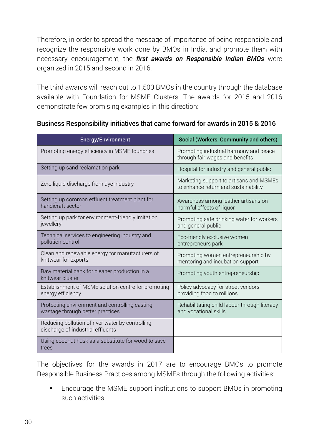Therefore, in order to spread the message of importance of being responsible and recognize the responsible work done by BMOs in India, and promote them with necessary encouragement, the *first awards on Responsible Indian BMOs* were organized in 2015 and second in 2016.

The third awards will reach out to 1,500 BMOs in the country through the database available with Foundation for MSME Clusters. The awards for 2015 and 2016 demonstrate few promising examples in this direction:

| <b>Energy/Environment</b>                                                             | Social (Workers, Community and others)                                          |  |
|---------------------------------------------------------------------------------------|---------------------------------------------------------------------------------|--|
| Promoting energy efficiency in MSME foundries                                         | Promoting industrial harmony and peace<br>through fair wages and benefits       |  |
| Setting up sand reclamation park                                                      | Hospital for industry and general public                                        |  |
| Zero liquid discharge from dye industry                                               | Marketing support to artisans and MSMEs<br>to enhance return and sustainability |  |
| Setting up common effluent treatment plant for<br>handicraft sector                   | Awareness among leather artisans on<br>harmful effects of liquor                |  |
| Setting up park for environment-friendly imitation<br>jewellery                       | Promoting safe drinking water for workers<br>and general public                 |  |
| Technical services to engineering industry and<br>pollution control                   | Eco-friendly exclusive women<br>entrepreneurs park                              |  |
| Clean and renewable energy for manufacturers of<br>knitwear for exports               | Promoting women entrepreneurship by<br>mentoring and incubation support         |  |
| Raw material bank for cleaner production in a<br>knitwear cluster                     | Promoting youth entrepreneurship                                                |  |
| Establishment of MSME solution centre for promoting<br>energy efficiency              | Policy advocacy for street vendors<br>providing food to millions                |  |
| Protecting environment and controlling casting<br>wastage through better practices    | Rehabilitating child labour through literacy<br>and vocational skills           |  |
| Reducing pollution of river water by controlling<br>discharge of industrial effluents |                                                                                 |  |
| Using coconut husk as a substitute for wood to save<br>trees                          |                                                                                 |  |

#### Business Responsibility initiatives that came forward for awards in 2015 & 2016

The objectives for the awards in 2017 are to encourage BMOs to promote Responsible Business Practices among MSMEs through the following activities:

 Encourage the MSME support institutions to support BMOs in promoting such activities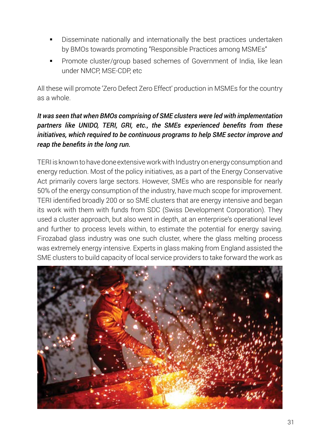- Disseminate nationally and internationally the best practices undertaken by BMOs towards promoting "Responsible Practices among MSMEs"
- Promote cluster/group based schemes of Government of India, like lean under NMCP, MSE-CDP, etc

All these will promote 'Zero Defect Zero Effect' production in MSMEs for the country as a whole.

#### *It was seen that when BMOs comprising of SME clusters were led with implementation partners like UNIDO, TERI, GRI, etc., the SMEs experienced benefits from these initiatives, which required to be continuous programs to help SME sector improve and reap the benefits in the long run.*

TERI is known to have done extensive work with Industry on energy consumption and energy reduction. Most of the policy initiatives, as a part of the Energy Conservative Act primarily covers large sectors. However, SMEs who are responsible for nearly 50% of the energy consumption of the industry, have much scope for improvement. TERI identified broadly 200 or so SME clusters that are energy intensive and began its work with them with funds from SDC (Swiss Development Corporation). They used a cluster approach, but also went in depth, at an enterprise's operational level and further to process levels within, to estimate the potential for energy saving. Firozabad glass industry was one such cluster, where the glass melting process was extremely energy intensive. Experts in glass making from England assisted the SME clusters to build capacity of local service providers to take forward the work as

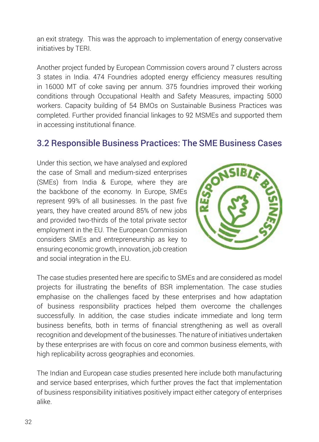an exit strategy. This was the approach to implementation of energy conservative initiatives by TERI.

Another project funded by European Commission covers around 7 clusters across 3 states in India. 474 Foundries adopted energy efficiency measures resulting in 16000 MT of coke saving per annum. 375 foundries improved their working conditions through Occupational Health and Safety Measures, impacting 5000 workers. Capacity building of 54 BMOs on Sustainable Business Practices was completed. Further provided financial linkages to 92 MSMEs and supported them in accessing institutional finance.

# 3.2 Responsible Business Practices: The SME Business Cases

Under this section, we have analysed and explored the case of Small and medium-sized enterprises (SMEs) from India & Europe, where they are the backbone of the economy. In Europe, SMEs represent 99% of all businesses. In the past five years, they have created around 85% of new jobs and provided two-thirds of the total private sector employment in the EU. The European Commission considers SMEs and entrepreneurship as key to ensuring economic growth, innovation, job creation and social integration in the EU.



The case studies presented here are specific to SMEs and are considered as model projects for illustrating the benefits of BSR implementation. The case studies emphasise on the challenges faced by these enterprises and how adaptation of business responsibility practices helped them overcome the challenges successfully. In addition, the case studies indicate immediate and long term business benefits, both in terms of financial strengthening as well as overall recognition and development of the businesses. The nature of initiatives undertaken by these enterprises are with focus on core and common business elements, with high replicability across geographies and economies.

The Indian and European case studies presented here include both manufacturing and service based enterprises, which further proves the fact that implementation of business responsibility initiatives positively impact either category of enterprises alike.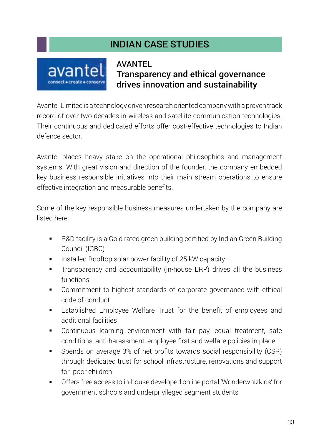## Indian Case Studies



## **AVANTEL** Transparency and ethical governance drives innovation and sustainability

Avantel Limited is a technology driven research oriented company with a proven track record of over two decades in wireless and satellite communication technologies. Their continuous and dedicated efforts offer cost-effective technologies to Indian defence sector.

Avantel places heavy stake on the operational philosophies and management systems. With great vision and direction of the founder, the company embedded key business responsible initiatives into their main stream operations to ensure effective integration and measurable benefits.

Some of the key responsible business measures undertaken by the company are listed here:

- R&D facility is a Gold rated green building certified by Indian Green Building Council (IGBC)
- Installed Rooftop solar power facility of 25 kW capacity
- Transparency and accountability (in-house ERP) drives all the business functions
- Commitment to highest standards of corporate governance with ethical code of conduct
- Established Employee Welfare Trust for the benefit of employees and additional facilities
- Continuous learning environment with fair pay, equal treatment, safe conditions, anti-harassment, employee first and welfare policies in place
- Spends on average 3% of net profits towards social responsibility (CSR) through dedicated trust for school infrastructure, renovations and support for poor children
- Offers free access to in-house developed online portal 'Wonderwhizkids' for government schools and underprivileged segment students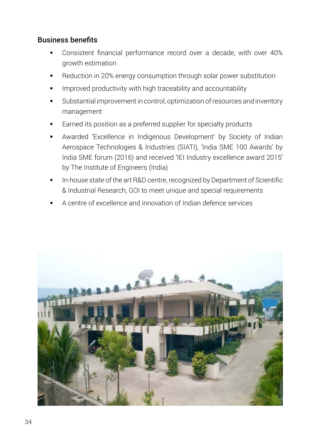#### Business benefits

- Consistent financial performance record over a decade, with over 40% growth estimation
- Reduction in 20% energy consumption through solar power substitution
- Improved productivity with high traceability and accountability
- Substantial improvement in control, optimization of resources and inventory management
- Earned its position as a preferred supplier for specialty products
- Awarded 'Excellence in Indigenous Development' by Society of Indian Aerospace Technologies & Industries (SIATI), 'India SME 100 Awards' by India SME forum (2016) and received 'IEI Industry excellence award 2015' by The Institute of Engineers (India)
- In-house state of the art R&D centre, recognized by Department of Scientific & Industrial Research, GOI to meet unique and special requirements
- A centre of excellence and innovation of Indian defence services

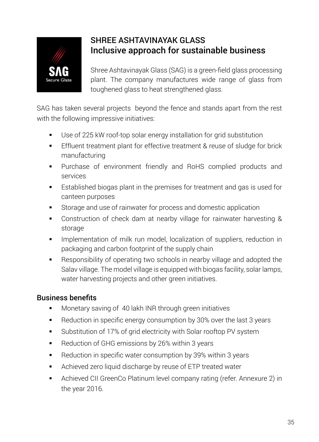

## Shree Ashtavinayak Glass Inclusive approach for sustainable business

Shree Ashtavinayak Glass (SAG) is a green-field glass processing plant. The company manufactures wide range of glass from toughened glass to heat strengthened glass.

SAG has taken several projects beyond the fence and stands apart from the rest with the following impressive initiatives:

- Use of 225 kW roof-top solar energy installation for grid substitution
- **Effluent treatment plant for effective treatment & reuse of sludge for brick** manufacturing
- Purchase of environment friendly and RoHS complied products and services
- Established biogas plant in the premises for treatment and gas is used for canteen purposes
- Storage and use of rainwater for process and domestic application
- Construction of check dam at nearby village for rainwater harvesting & storage
- **IMPLEM** 1mplementation of milk run model, localization of suppliers, reduction in packaging and carbon footprint of the supply chain
- Responsibility of operating two schools in nearby village and adopted the Salav village. The model village is equipped with biogas facility, solar lamps, water harvesting projects and other green initiatives.

## Business benefits

- **Monetary saving of 40 lakh INR through green initiatives**
- Reduction in specific energy consumption by 30% over the last 3 years
- Substitution of 17% of grid electricity with Solar rooftop PV system
- Reduction of GHG emissions by 26% within 3 years
- Reduction in specific water consumption by 39% within 3 years
- Achieved zero liquid discharge by reuse of ETP treated water
- Achieved CII GreenCo Platinum level company rating (refer. Annexure 2) in the year 2016.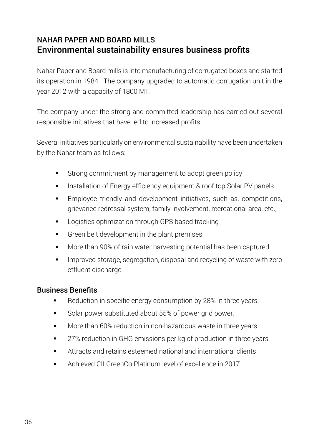## Nahar Paper and Board Mills Environmental sustainability ensures business profits

Nahar Paper and Board mills is into manufacturing of corrugated boxes and started its operation in 1984. The company upgraded to automatic corrugation unit in the year 2012 with a capacity of 1800 MT.

The company under the strong and committed leadership has carried out several responsible initiatives that have led to increased profits.

Several initiatives particularly on environmental sustainability have been undertaken by the Nahar team as follows:

- Strong commitment by management to adopt green policy
- **Installation of Energy efficiency equipment & roof top Solar PV panels**
- **Employee friendly and development initiatives, such as, competitions,** grievance redressal system, family involvement, recreational area, etc.,
- **EXEC** Logistics optimization through GPS based tracking
- Green belt development in the plant premises
- More than 90% of rain water harvesting potential has been captured
- **IMPROVED STOREG**, segregation, disposal and recycling of waste with zero effluent discharge

### Business Benefits

- Reduction in specific energy consumption by 28% in three years
- Solar power substituted about 55% of power grid power.
- More than 60% reduction in non-hazardous waste in three years
- 27% reduction in GHG emissions per kg of production in three years
- Attracts and retains esteemed national and international clients
- Achieved CII GreenCo Platinum level of excellence in 2017.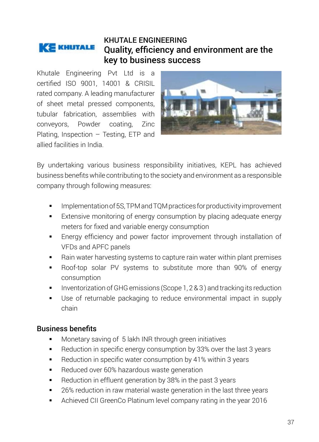#### KHUTALE ENGINEERING **KE KHUTALE** Quality, efficiency and environment are the key to business success

Khutale Engineering Pvt Ltd is a certified ISO 9001, 14001 & CRISIL rated company. A leading manufacturer of sheet metal pressed components, tubular fabrication, assemblies with conveyors, Powder coating, Zinc Plating, Inspection – Testing, ETP and allied facilities in India.



By undertaking various business responsibility initiatives, KEPL has achieved business benefits while contributing to the society and environment as a responsible company through following measures:

- Implementation of 5S, TPM and TQM practices for productivity improvement
- Extensive monitoring of energy consumption by placing adequate energy meters for fixed and variable energy consumption
- Energy efficiency and power factor improvement through installation of VFDs and APFC panels
- Rain water harvesting systems to capture rain water within plant premises
- Roof-top solar PV systems to substitute more than 90% of energy consumption
- Inventorization of GHG emissions (Scope 1, 2 & 3 ) and tracking its reduction
- Use of returnable packaging to reduce environmental impact in supply chain

#### Business benefits

- Monetary saving of 5 lakh INR through green initiatives
- Reduction in specific energy consumption by 33% over the last 3 years
- Reduction in specific water consumption by 41% within 3 years
- **Reduced over 60% hazardous waste generation**
- Reduction in effluent generation by 38% in the past 3 years
- 26% reduction in raw material waste generation in the last three years
- Achieved CII GreenCo Platinum level company rating in the year 2016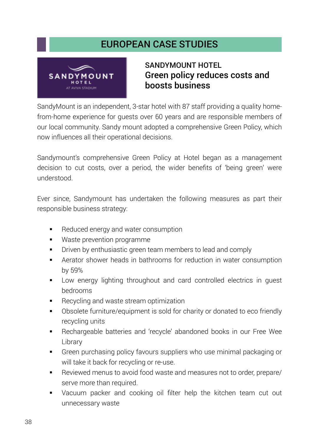## European Case Studies



## Sandymount Hotel Green policy reduces costs and boosts business

SandyMount is an independent, 3-star hotel with 87 staff providing a quality homefrom-home experience for guests over 60 years and are responsible members of our local community. Sandy mount adopted a comprehensive Green Policy, which now influences all their operational decisions.

Sandymount's comprehensive Green Policy at Hotel began as a management decision to cut costs, over a period, the wider benefits of 'being green' were understood.

Ever since, Sandymount has undertaken the following measures as part their responsible business strategy:

- Reduced energy and water consumption
- **Waste prevention programme**
- **Driven by enthusiastic green team members to lead and comply**
- Aerator shower heads in bathrooms for reduction in water consumption by 59%
- Low energy lighting throughout and card controlled electrics in guest bedrooms
- Recycling and waste stream optimization
- Obsolete furniture/equipment is sold for charity or donated to eco friendly recycling units
- Rechargeable batteries and 'recycle' abandoned books in our Free Wee Library
- Green purchasing policy favours suppliers who use minimal packaging or will take it back for recycling or re-use.
- Reviewed menus to avoid food waste and measures not to order, prepare/ serve more than required.
- Vacuum packer and cooking oil filter help the kitchen team cut out unnecessary waste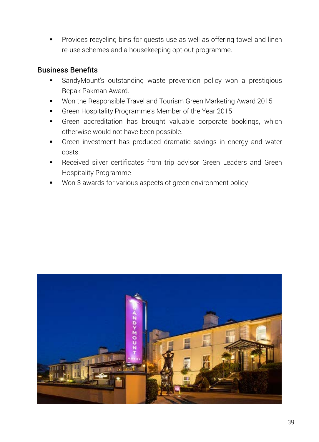Provides recycling bins for guests use as well as offering towel and linen re-use schemes and a housekeeping opt-out programme.

#### Business Benefits

- SandyMount's outstanding waste prevention policy won a prestigious Repak Pakman Award.
- Won the Responsible Travel and Tourism Green Marketing Award 2015
- Green Hospitality Programme's Member of the Year 2015
- **Green accreditation has brought valuable corporate bookings, which** otherwise would not have been possible.
- Green investment has produced dramatic savings in energy and water costs.
- Received silver certificates from trip advisor Green Leaders and Green Hospitality Programme
- Won 3 awards for various aspects of green environment policy

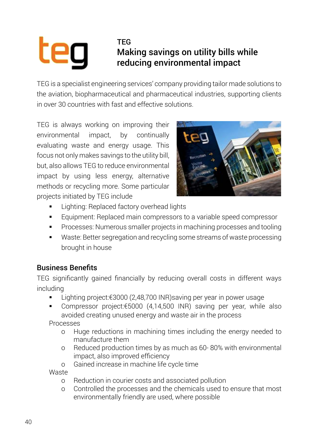# tea

## TEG Making savings on utility bills while reducing environmental impact

TEG is a specialist engineering services' company providing tailor made solutions to the aviation, biopharmaceutical and pharmaceutical industries, supporting clients in over 30 countries with fast and effective solutions.

TEG is always working on improving their environmental impact, by continually evaluating waste and energy usage. This focus not only makes savings to the utility bill, but, also allows TEG to reduce environmental impact by using less energy, alternative methods or recycling more. Some particular projects initiated by TEG include



- Lighting: Replaced factory overhead lights
- **Equipment: Replaced main compressors to a variable speed compressor**
- Processes: Numerous smaller projects in machining processes and tooling
- Waste: Better segregation and recycling some streams of waste processing brought in house

## Business Benefits

TEG significantly gained financially by reducing overall costs in different ways including

- Lighting project:€3000 (2,48,700 INR)saving per year in power usage
- Compressor project:€5000 (4,14,500 INR) saving per year, while also avoided creating unused energy and waste air in the process

Processes

- o Huge reductions in machining times including the energy needed to manufacture them
- o Reduced production times by as much as 60- 80% with environmental impact, also improved efficiency
- o Gained increase in machine life cycle time

Waste

- o Reduction in courier costs and associated pollution
- o Controlled the processes and the chemicals used to ensure that most environmentally friendly are used, where possible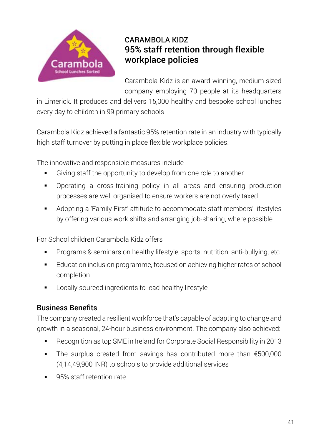

## Carambola Kidz 95% staff retention through flexible workplace policies

Carambola Kidz is an award winning, medium-sized company employing 70 people at its headquarters

in Limerick. It produces and delivers 15,000 healthy and bespoke school lunches every day to children in 99 primary schools

Carambola Kidz achieved a fantastic 95% retention rate in an industry with typically high staff turnover by putting in place flexible workplace policies.

The innovative and responsible measures include

- Giving staff the opportunity to develop from one role to another
- Operating a cross-training policy in all areas and ensuring production processes are well organised to ensure workers are not overly taxed
- Adopting a 'Family First' attitude to accommodate staff members' lifestyles by offering various work shifts and arranging job-sharing, where possible.

For School children Carambola Kidz offers

- Programs & seminars on healthy lifestyle, sports, nutrition, anti-bullying, etc
- Education inclusion programme, focused on achieving higher rates of school completion
- **EXEC** Locally sourced ingredients to lead healthy lifestyle

### Business Benefits

The company created a resilient workforce that's capable of adapting to change and growth in a seasonal, 24-hour business environment. The company also achieved:

- Recognition as top SME in Ireland for Corporate Social Responsibility in 2013
- The surplus created from savings has contributed more than €500,000 (4,14,49,900 INR) to schools to provide additional services
- 95% staff retention rate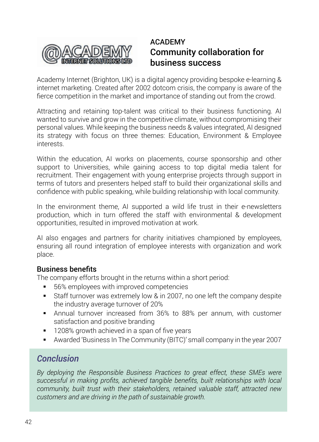

## ACADEMY Community collaboration for business success

Academy Internet (Brighton, UK) is a digital agency providing bespoke e-learning & internet marketing. Created after 2002 dotcom crisis, the company is aware of the fierce competition in the market and importance of standing out from the crowd.

Attracting and retaining top-talent was critical to their business functioning. AI wanted to survive and grow in the competitive climate, without compromising their personal values. While keeping the business needs & values integrated, AI designed its strategy with focus on three themes: Education, Environment & Employee interests.

Within the education, AI works on placements, course sponsorship and other support to Universities, while gaining access to top digital media talent for recruitment. Their engagement with young enterprise projects through support in terms of tutors and presenters helped staff to build their organizational skills and confidence with public speaking, while building relationship with local community.

In the environment theme, AI supported a wild life trust in their e-newsletters production, which in turn offered the staff with environmental & development opportunities, resulted in improved motivation at work.

AI also engages and partners for charity initiatives championed by employees, ensuring all round integration of employee interests with organization and work place.

#### Business benefits

The company efforts brought in the returns within a short period:

- 56% employees with improved competencies
- Staff turnover was extremely low & in 2007, no one left the company despite the industry average turnover of 20%
- Annual turnover increased from 36% to 88% per annum, with customer satisfaction and positive branding
- **1208% growth achieved in a span of five years**
- Awarded 'Business In The Community (BITC)' small company in the year 2007

## *Conclusion*

*By deploying the Responsible Business Practices to great effect, these SMEs were successful in making profits, achieved tangible benefits, built relationships with local community, built trust with their stakeholders, retained valuable staff, attracted new customers and are driving in the path of sustainable growth.*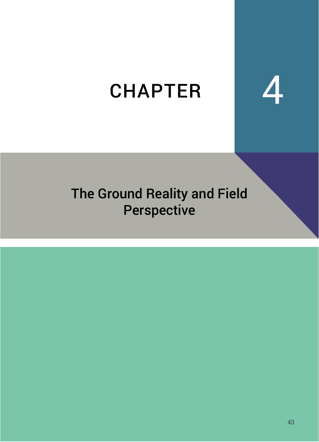# **CHAPTER**

## The Ground Reality and Field Perspective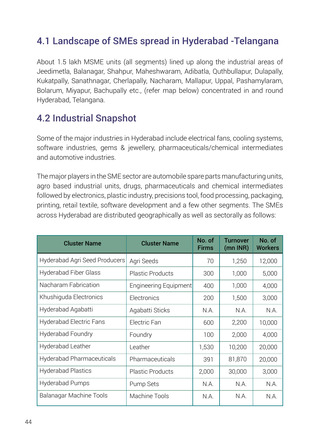## 4.1 Landscape of SMEs spread in Hyderabad -Telangana

About 1.5 lakh MSME units (all segments) lined up along the industrial areas of Jeedimetla, Balanagar, Shahpur, Maheshwaram, Adibatla, Quthbullapur, Dulapally, Kukatpally, Sanathnagar, Cherlapally, Nacharam, Mallapur, Uppal, Pashamylaram, Bolarum, Miyapur, Bachupally etc., (refer map below) concentrated in and round Hyderabad, Telangana.

## 4.2 Industrial Snapshot

Some of the major industries in Hyderabad include electrical fans, cooling systems, software industries, gems & jewellery, pharmaceuticals/chemical intermediates and automotive industries.

The major players in the SME sector are automobile spare parts manufacturing units, agro based industrial units, drugs, pharmaceuticals and chemical intermediates followed by electronics, plastic industry, precisions tool, food processing, packaging, printing, retail textile, software development and a few other segments. The SMEs across Hyderabad are distributed geographically as well as sectorally as follows:

| <b>Cluster Name</b>            | <b>Cluster Name</b>          | No. of<br><b>Firms</b> | Turnover<br>(mn INR) | No. of<br><b>Workers</b> |
|--------------------------------|------------------------------|------------------------|----------------------|--------------------------|
| Hyderabad Agri Seed Producers  | Agri Seeds                   | 70                     | 1,250                | 12,000                   |
| Hyderabad Fiber Glass          | <b>Plastic Products</b>      | 300                    | 1,000                | 5,000                    |
| Nacharam Fabrication           | <b>Engineering Equipment</b> | 400                    | 1,000                | 4,000                    |
| Khushiguda Electronics         | Electronics                  | 200                    | 1,500                | 3,000                    |
| Hyderabad Agabatti             | Agabatti Sticks              | N.A.                   | N.A.                 | N.A.                     |
| <b>Hyderabad Electric Fans</b> | Electric Fan                 | 600                    | 2,200                | 10,000                   |
| Hyderabad Foundry              | Foundry                      | 100                    | 2,000                | 4,000                    |
| Hyderabad Leather              | Leather                      | 1,530                  | 10,200               | 20,000                   |
| Hyderabad Pharmaceuticals      | Pharmaceuticals              | 391                    | 81,870               | 20,000                   |
| <b>Hyderabad Plastics</b>      | <b>Plastic Products</b>      | 2,000                  | 30,000               | 3,000                    |
| Hyderabad Pumps                | Pump Sets                    | N.A.                   | N.A.                 | N.A.                     |
| Balanagar Machine Tools        | Machine Tools                | N.A.                   | N.A.                 | N.A.                     |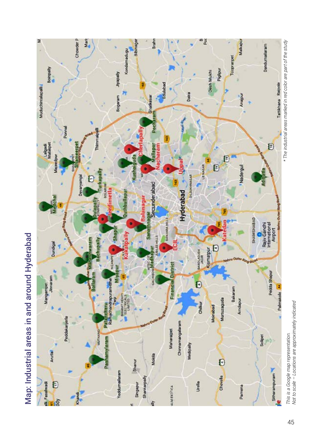



This is a Google map representation.<br>Not to scale - Locations are approximately indicated *Not to scale – Locations are approximately indicated This is a Google map representation.*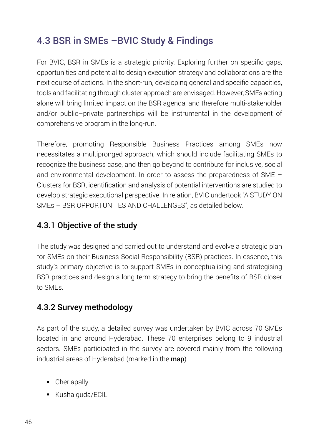## 4.3 BSR in SMEs –BVIC Study & Findings

For BVIC, BSR in SMEs is a strategic priority. Exploring further on specific gaps, opportunities and potential to design execution strategy and collaborations are the next course of actions. In the short-run, developing general and specific capacities, tools and facilitating through cluster approach are envisaged. However, SMEs acting alone will bring limited impact on the BSR agenda, and therefore multi-stakeholder and/or public–private partnerships will be instrumental in the development of comprehensive program in the long-run.

Therefore, promoting Responsible Business Practices among SMEs now necessitates a multipronged approach, which should include facilitating SMEs to recognize the business case, and then go beyond to contribute for inclusive, social and environmental development. In order to assess the preparedness of SME – Clusters for BSR, identification and analysis of potential interventions are studied to develop strategic executional perspective. In relation, BVIC undertook "A STUDY ON SMEs – BSR OPPORTUNITES AND CHALLENGES", as detailed below.

## 4.3.1 Objective of the study

The study was designed and carried out to understand and evolve a strategic plan for SMEs on their Business Social Responsibility (BSR) practices. In essence, this study's primary objective is to support SMEs in conceptualising and strategising BSR practices and design a long term strategy to bring the benefits of BSR closer to SMEs.

## 4.3.2 Survey methodology

As part of the study, a detailed survey was undertaken by BVIC across 70 SMEs located in and around Hyderabad. These 70 enterprises belong to 9 industrial sectors. SMEs participated in the survey are covered mainly from the following industrial areas of Hyderabad (marked in the map).

- Cherlapally
- **Kushaiguda/ECIL**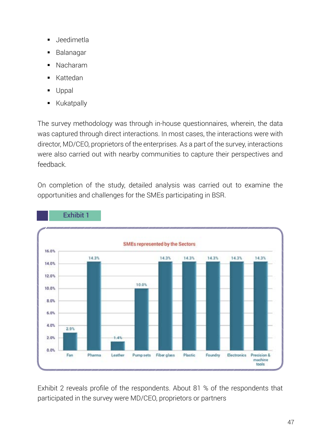- Jeedimetla
- Balanagar
- Nacharam
- Kattedan
- Uppal
- **Kukatpally**

The survey methodology was through in-house questionnaires, wherein, the data was captured through direct interactions. In most cases, the interactions were with director, MD/CEO, proprietors of the enterprises. As a part of the survey, interactions were also carried out with nearby communities to capture their perspectives and feedback.

On completion of the study, detailed analysis was carried out to examine the opportunities and challenges for the SMEs participating in BSR.



Exhibit 1

Exhibit 2 reveals profile of the respondents. About 81 % of the respondents that participated in the survey were MD/CEO, proprietors or partners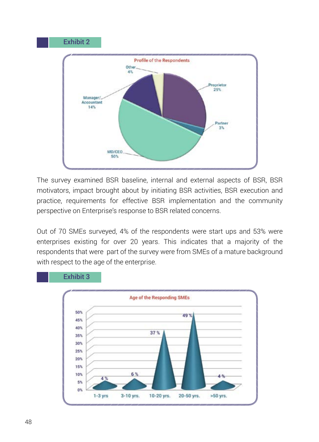

The survey examined BSR baseline, internal and external aspects of BSR, BSR motivators, impact brought about by initiating BSR activities, BSR execution and practice, requirements for effective BSR implementation and the community perspective on Enterprise's response to BSR related concerns.

Out of 70 SMEs surveyed, 4% of the respondents were start ups and 53% were enterprises existing for over 20 years. This indicates that a majority of the respondents that were part of the survey were from SMEs of a mature background with respect to the age of the enterprise.



Exhibit 3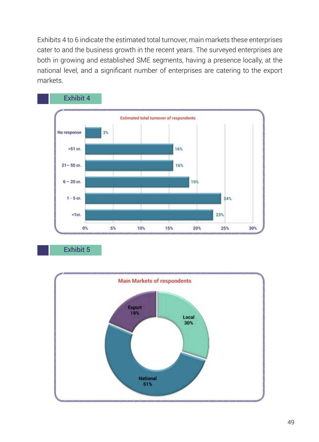Exhibits 4 to 6 indicate the estimated total turnover, main markets these enterprises cater to and the business growth in the recent years. The surveyed enterprises are both in growing and established SME segments, having a presence locally, at the national level, and a significant number of enterprises are catering to the export markets.



Exhibit 5

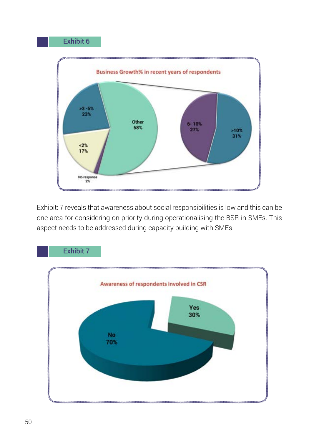#### Exhibit 6



Exhibit: 7 reveals that awareness about social responsibilities is low and this can be one area for considering on priority during operationalising the BSR in SMEs. This aspect needs to be addressed during capacity building with SMEs.

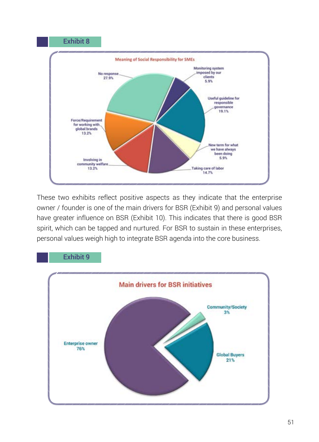

These two exhibits reflect positive aspects as they indicate that the enterprise owner / founder is one of the main drivers for BSR (Exhibit 9) and personal values have greater influence on BSR (Exhibit 10). This indicates that there is good BSR spirit, which can be tapped and nurtured. For BSR to sustain in these enterprises, personal values weigh high to integrate BSR agenda into the core business.



## Exhibit 9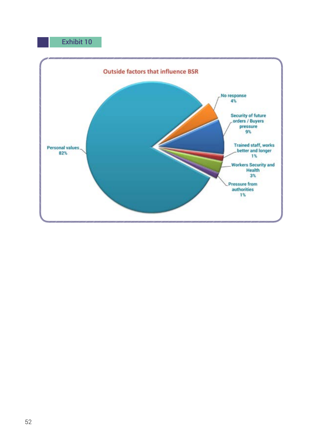### Exhibit 10

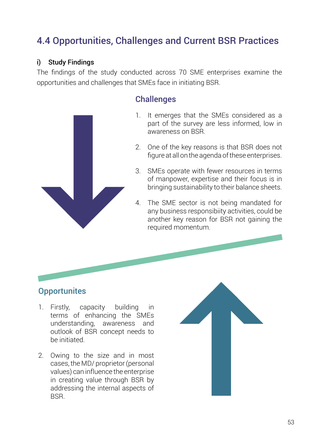## 4.4 Opportunities, Challenges and Current BSR Practices

#### i) Study Findings

The findings of the study conducted across 70 SME enterprises examine the opportunities and challenges that SMEs face in initiating BSR.



### **Challenges**

- 1. It emerges that the SMEs considered as a part of the survey are less informed, low in awareness on BSR.
- 2. One of the key reasons is that BSR does not figure at all on the agenda of these enterprises.
- 3. SMEs operate with fewer resources in terms of manpower, expertise and their focus is in bringing sustainability to their balance sheets.
- 4. The SME sector is not being mandated for any business responsibiity activities, could be another key reason for BSR not gaining the required momentum.

## **Opportunites**

- 1. Firstly, capacity building in terms of enhancing the SMEs understanding, awareness and outlook of BSR concept needs to be initiated.
- 2. Owing to the size and in most cases, the MD/ proprietor (personal values) can influence the enterprise in creating value through BSR by addressing the internal aspects of **BSR.**

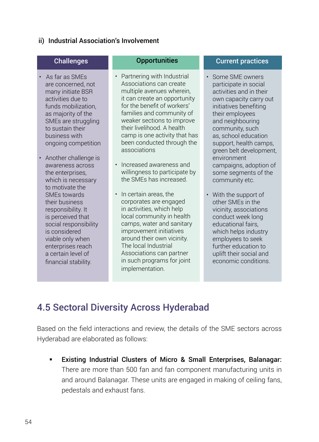#### ii) Industrial Association's Involvement

#### **Challenges**

- As far as SMEs are concerned, not many initiate BSR activities due to funds mobilization, as majority of the SMEs are struggling to sustain their business with ongoing competition
- Another challenge is awareness across the enterprises, which is necessary to motivate the SMEs towards their business responsibility. It is perceived that social responsibility is considered viable only when enterprises reach a certain level of financial stability.

#### **Opportunities**

- Partnering with Industrial Associations can create multiple avenues wherein, it can create an opportunity for the benefit of workers' families and community of weaker sections to improve their livelihood. A health camp is one activity that has been conducted through the associations
- Increased awareness and willingness to participate by the SMEs has increased.
- In certain areas, the corporates are engaged in activities, which help local community in health camps, water and sanitary improvement initiatives around their own vicinity. The local Industrial Associations can partner in such programs for joint implementation.

#### Current practices

- Some SME owners participate in social activities and in their own capacity carry out initiatives benefiting their employees and neighbouring community, such as, school education support, health camps, green belt development, environment campaigns, adoption of some segments of the community etc.
- With the support of other SMEs in the vicinity, associations conduct week long educational fairs, which helps industry employees to seek further education to uplift their social and economic conditions.

## 4.5 Sectoral Diversity Across Hyderabad

Based on the field interactions and review, the details of the SME sectors across Hyderabad are elaborated as follows:

 Existing Industrial Clusters of Micro & Small Enterprises, Balanagar: There are more than 500 fan and fan component manufacturing units in and around Balanagar. These units are engaged in making of ceiling fans, pedestals and exhaust fans.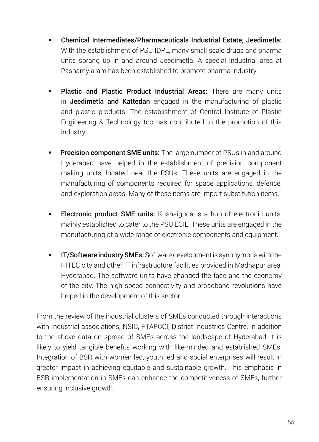- Chemical Intermediates/Pharmaceuticals Industrial Estate, Jeedimetla: With the establishment of PSU IDPL, many small scale drugs and pharma units sprang up in and around Jeedimetla. A special industrial area at Pashamylaram has been established to promote pharma industry.
- **Plastic and Plastic Product Industrial Areas:** There are many units in Jeedimetla and Kattedan engaged in the manufacturing of plastic and plastic products. The establishment of Central Institute of Plastic Engineering & Technology too has contributed to the promotion of this industry.
- **Precision component SME units:** The large number of PSUs in and around Hyderabad have helped in the establishment of precision component making units, located near the PSUs. These units are engaged in the manufacturing of components required for space applications, defence, and exploration areas. Many of these items are import substitution items.
- Electronic product SME units: Kushaiguda is a hub of electronic units, mainly established to cater to the PSU ECIL. These units are engaged in the manufacturing of a wide range of electronic components and equipment.
- **IT/Software industry SMEs:** Software development is synonymous with the HITEC city and other IT infrastructure facilities provided in Madhapur area, Hyderabad. The software units have changed the face and the economy of the city. The high speed connectivity and broadband revolutions have helped in the development of this sector.

From the review of the industrial clusters of SMEs conducted through interactions with Industrial associations, NSIC, FTAPCCI, District Industries Centre, in addition to the above data on spread of SMEs across the landscape of Hyderabad, it is likely to yield tangible benefits working with like-minded and established SMEs. Integration of BSR with women led, youth led and social enterprises will result in greater impact in achieving equitable and sustainable growth. This emphasis in BSR implementation in SMEs can enhance the competitiveness of SMEs, further ensuring inclusive growth.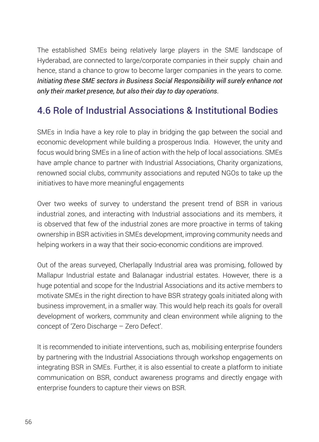The established SMEs being relatively large players in the SME landscape of Hyderabad, are connected to large/corporate companies in their supply chain and hence, stand a chance to grow to become larger companies in the years to come. *Initiating these SME sectors in Business Social Responsibility will surely enhance not only their market presence, but also their day to day operations.*

## 4.6 Role of Industrial Associations & Institutional Bodies

SMEs in India have a key role to play in bridging the gap between the social and economic development while building a prosperous India. However, the unity and focus would bring SMEs in a line of action with the help of local associations. SMEs have ample chance to partner with Industrial Associations, Charity organizations, renowned social clubs, community associations and reputed NGOs to take up the initiatives to have more meaningful engagements

Over two weeks of survey to understand the present trend of BSR in various industrial zones, and interacting with Industrial associations and its members, it is observed that few of the industrial zones are more proactive in terms of taking ownership in BSR activities in SMEs development, improving community needs and helping workers in a way that their socio-economic conditions are improved.

Out of the areas surveyed, Cherlapally Industrial area was promising, followed by Mallapur Industrial estate and Balanagar industrial estates. However, there is a huge potential and scope for the Industrial Associations and its active members to motivate SMEs in the right direction to have BSR strategy goals initiated along with business improvement, in a smaller way. This would help reach its goals for overall development of workers, community and clean environment while aligning to the concept of 'Zero Discharge – Zero Defect'.

It is recommended to initiate interventions, such as, mobilising enterprise founders by partnering with the Industrial Associations through workshop engagements on integrating BSR in SMEs. Further, it is also essential to create a platform to initiate communication on BSR, conduct awareness programs and directly engage with enterprise founders to capture their views on BSR.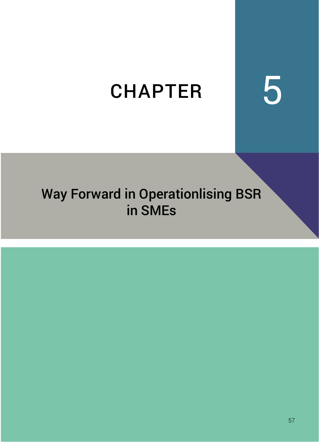# CHAPTER 5

## Way Forward in Operationlising BSR in SMEs

|  |  |  | <b>F7</b> |
|--|--|--|-----------|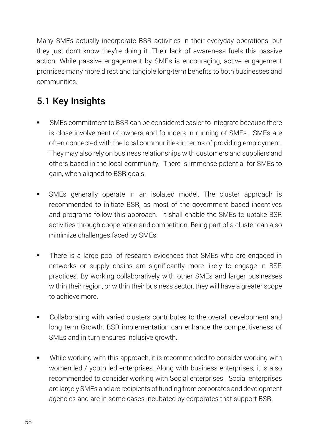Many SMEs actually incorporate BSR activities in their everyday operations, but they just don't know they're doing it. Their lack of awareness fuels this passive action. While passive engagement by SMEs is encouraging, active engagement promises many more direct and tangible long-term benefits to both businesses and communities.

## 5.1 Key Insights

- SMEs commitment to BSR can be considered easier to integrate because there is close involvement of owners and founders in running of SMEs. SMEs are often connected with the local communities in terms of providing employment. They may also rely on business relationships with customers and suppliers and others based in the local community. There is immense potential for SMEs to gain, when aligned to BSR goals.
- SMEs generally operate in an isolated model. The cluster approach is recommended to initiate BSR, as most of the government based incentives and programs follow this approach. It shall enable the SMEs to uptake BSR activities through cooperation and competition. Being part of a cluster can also minimize challenges faced by SMEs.
- There is a large pool of research evidences that SMEs who are engaged in networks or supply chains are significantly more likely to engage in BSR practices. By working collaboratively with other SMEs and larger businesses within their region, or within their business sector, they will have a greater scope to achieve more.
- Collaborating with varied clusters contributes to the overall development and long term Growth. BSR implementation can enhance the competitiveness of SMEs and in turn ensures inclusive growth.
- While working with this approach, it is recommended to consider working with women led / youth led enterprises. Along with business enterprises, it is also recommended to consider working with Social enterprises. Social enterprises are largely SMEs and are recipients of funding from corporates and development agencies and are in some cases incubated by corporates that support BSR.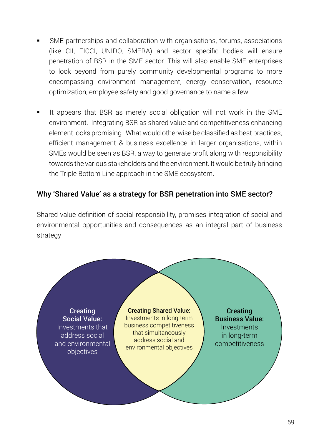- SME partnerships and collaboration with organisations, forums, associations (like CII, FICCI, UNIDO, SMERA) and sector specific bodies will ensure penetration of BSR in the SME sector. This will also enable SME enterprises to look beyond from purely community developmental programs to more encompassing environment management, energy conservation, resource optimization, employee safety and good governance to name a few.
- It appears that BSR as merely social obligation will not work in the SME environment. Integrating BSR as shared value and competitiveness enhancing element looks promising. What would otherwise be classified as best practices, efficient management & business excellence in larger organisations, within SMEs would be seen as BSR, a way to generate profit along with responsibility towards the various stakeholders and the environment. It would be truly bringing the Triple Bottom Line approach in the SME ecosystem.

#### Why 'Shared Value' as a strategy for BSR penetration into SME sector?

Shared value definition of social responsibility, promises integration of social and environmental opportunities and consequences as an integral part of business strategy

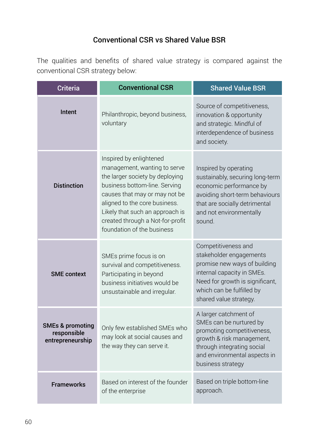## Conventional CSR vs Shared Value BSR

The qualities and benefits of shared value strategy is compared against the conventional CSR strategy below:

| <b>Criteria</b>                                                | <b>Conventional CSR</b>                                                                                                                                                                                                                                                                            | <b>Shared Value BSR</b>                                                                                                                                                                                |  |  |
|----------------------------------------------------------------|----------------------------------------------------------------------------------------------------------------------------------------------------------------------------------------------------------------------------------------------------------------------------------------------------|--------------------------------------------------------------------------------------------------------------------------------------------------------------------------------------------------------|--|--|
| Intent                                                         | Philanthropic, beyond business,<br>voluntary                                                                                                                                                                                                                                                       | Source of competitiveness,<br>innovation & opportunity<br>and strategic. Mindful of<br>interdependence of business<br>and society.                                                                     |  |  |
| <b>Distinction</b>                                             | Inspired by enlightened<br>management, wanting to serve<br>the larger society by deploying<br>business bottom-line. Serving<br>causes that may or may not be<br>aligned to the core business.<br>Likely that such an approach is<br>created through a Not-for-profit<br>foundation of the business | Inspired by operating<br>sustainably, securing long-term<br>economic performance by<br>avoiding short-term behaviours<br>that are socially detrimental<br>and not environmentally<br>sound.            |  |  |
| <b>SME</b> context                                             | SMEs prime focus is on<br>survival and competitiveness.<br>Participating in beyond<br>business initiatives would be<br>unsustainable and irregular.                                                                                                                                                | Competitiveness and<br>stakeholder engagements<br>promise new ways of building<br>internal capacity in SMEs.<br>Need for growth is significant,<br>which can be fulfilled by<br>shared value strategy. |  |  |
| <b>SMEs &amp; promoting</b><br>responsible<br>entrepreneurship | Only few established SMEs who<br>may look at social causes and<br>the way they can serve it.                                                                                                                                                                                                       | A larger catchment of<br>SMEs can be nurtured by<br>promoting competitiveness,<br>growth & risk management,<br>through integrating social<br>and environmental aspects in<br>business strategy         |  |  |
| <b>Frameworks</b>                                              | Based on interest of the founder<br>of the enterprise                                                                                                                                                                                                                                              | Based on triple bottom-line<br>approach.                                                                                                                                                               |  |  |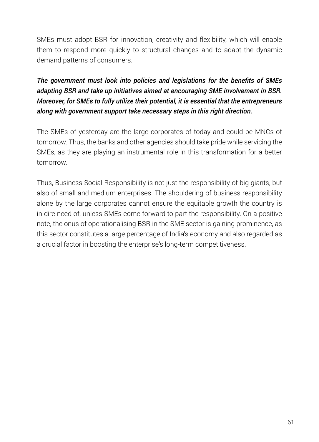SMEs must adopt BSR for innovation, creativity and flexibility, which will enable them to respond more quickly to structural changes and to adapt the dynamic demand patterns of consumers.

*The government must look into policies and legislations for the benefits of SMEs adapting BSR and take up initiatives aimed at encouraging SME involvement in BSR. Moreover, for SMEs to fully utilize their potential, it is essential that the entrepreneurs along with government support take necessary steps in this right direction.* 

The SMEs of yesterday are the large corporates of today and could be MNCs of tomorrow. Thus, the banks and other agencies should take pride while servicing the SMEs, as they are playing an instrumental role in this transformation for a better tomorrow.

Thus, Business Social Responsibility is not just the responsibility of big giants, but also of small and medium enterprises. The shouldering of business responsibility alone by the large corporates cannot ensure the equitable growth the country is in dire need of, unless SMEs come forward to part the responsibility. On a positive note, the onus of operationalising BSR in the SME sector is gaining prominence, as this sector constitutes a large percentage of India's economy and also regarded as a crucial factor in boosting the enterprise's long-term competitiveness.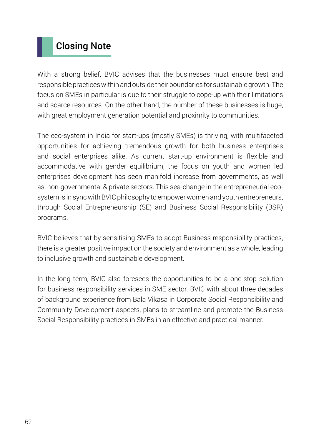## Closing Note

With a strong belief, BVIC advises that the businesses must ensure best and responsible practices within and outside their boundaries for sustainable growth. The focus on SMEs in particular is due to their struggle to cope-up with their limitations and scarce resources. On the other hand, the number of these businesses is huge, with great employment generation potential and proximity to communities.

The eco-system in India for start-ups (mostly SMEs) is thriving, with multifaceted opportunities for achieving tremendous growth for both business enterprises and social enterprises alike. As current start-up environment is flexible and accommodative with gender equilibrium, the focus on youth and women led enterprises development has seen manifold increase from governments, as well as, non-governmental & private sectors. This sea-change in the entrepreneurial ecosystem is in sync with BVIC philosophy to empower women and youth entrepreneurs, through Social Entrepreneurship (SE) and Business Social Responsibility (BSR) programs.

BVIC believes that by sensitising SMEs to adopt Business responsibility practices, there is a greater positive impact on the society and environment as a whole, leading to inclusive growth and sustainable development.

In the long term, BVIC also foresees the opportunities to be a one-stop solution for business responsibility services in SME sector. BVIC with about three decades of background experience from Bala Vikasa in Corporate Social Responsibility and Community Development aspects, plans to streamline and promote the Business Social Responsibility practices in SMEs in an effective and practical manner.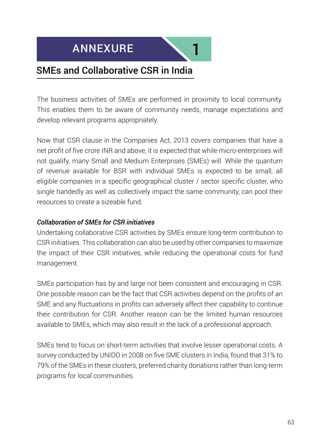



## SMEs and Collaborative CSR in India

The business activities of SMEs are performed in proximity to local community. This enables them to be aware of community needs, manage expectations and develop relevant programs appropriately.

Now that CSR clause in the Companies Act, 2013 covers companies that have a net profit of five crore INR and above, it is expected that while micro-enterprises will not qualify, many Small and Medium Enterprises (SMEs) will. While the quantum of revenue available for BSR with individual SMEs is expected to be small, all eligible companies in a specific geographical cluster / sector specific cluster, who single handedly as well as collectively impact the same community, can pool their resources to create a sizeable fund.

#### *Collaboration of SMEs for CSR initiatives*

Undertaking collaborative CSR activities by SMEs ensure long-term contribution to CSR initiatives. This collaboration can also be used by other companies to maximize the impact of their CSR initiatives, while reducing the operational costs for fund management.

SMEs participation has by and large not been consistent and encouraging in CSR. One possible reason can be the fact that CSR activities depend on the profits of an SME and any fluctuations in profits can adversely affect their capability to continue their contribution for CSR. Another reason can be the limited human resources available to SMEs, which may also result in the lack of a professional approach.

SMEs tend to focus on short-term activities that involve lesser operational costs. A survey conducted by UNIDO in 2008 on five SME clusters in India, found that 31% to 79% of the SMEs in these clusters, preferred charity donations rather than long-term programs for local communities.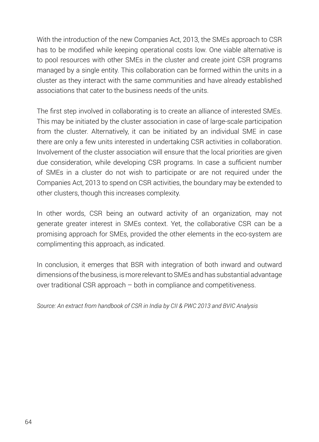With the introduction of the new Companies Act, 2013, the SMEs approach to CSR has to be modified while keeping operational costs low. One viable alternative is to pool resources with other SMEs in the cluster and create joint CSR programs managed by a single entity. This collaboration can be formed within the units in a cluster as they interact with the same communities and have already established associations that cater to the business needs of the units.

The first step involved in collaborating is to create an alliance of interested SMEs. This may be initiated by the cluster association in case of large-scale participation from the cluster. Alternatively, it can be initiated by an individual SME in case there are only a few units interested in undertaking CSR activities in collaboration. Involvement of the cluster association will ensure that the local priorities are given due consideration, while developing CSR programs. In case a sufficient number of SMEs in a cluster do not wish to participate or are not required under the Companies Act, 2013 to spend on CSR activities, the boundary may be extended to other clusters, though this increases complexity.

In other words, CSR being an outward activity of an organization, may not generate greater interest in SMEs context. Yet, the collaborative CSR can be a promising approach for SMEs, provided the other elements in the eco-system are complimenting this approach, as indicated.

In conclusion, it emerges that BSR with integration of both inward and outward dimensions of the business, is more relevant to SMEs and has substantial advantage over traditional CSR approach – both in compliance and competitiveness.

*Source: An extract from handbook of CSR in India by CII & PWC 2013 and BVIC Analysis*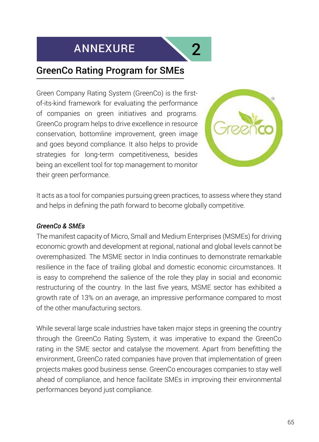## ANNEXURE 2



## GreenCo Rating Program for SMEs

Green Company Rating System (GreenCo) is the firstof-its-kind framework for evaluating the performance of companies on green initiatives and programs. GreenCo program helps to drive excellence in resource conservation, bottomline improvement, green image and goes beyond compliance. It also helps to provide strategies for long-term competitiveness, besides being an excellent tool for top management to monitor their green performance.



It acts as a tool for companies pursuing green practices, to assess where they stand and helps in defining the path forward to become globally competitive.

#### *GreenCo & SMEs*

The manifest capacity of Micro, Small and Medium Enterprises (MSMEs) for driving economic growth and development at regional, national and global levels cannot be overemphasized. The MSME sector in India continues to demonstrate remarkable resilience in the face of trailing global and domestic economic circumstances. It is easy to comprehend the salience of the role they play in social and economic restructuring of the country. In the last five years, MSME sector has exhibited a growth rate of 13% on an average, an impressive performance compared to most of the other manufacturing sectors.

While several large scale industries have taken major steps in greening the country through the GreenCo Rating System, it was imperative to expand the GreenCo rating in the SME sector and catalyse the movement. Apart from benefitting the environment, GreenCo rated companies have proven that implementation of green projects makes good business sense. GreenCo encourages companies to stay well ahead of compliance, and hence facilitate SMEs in improving their environmental performances beyond just compliance.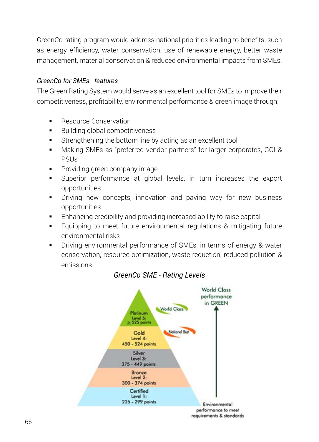GreenCo rating program would address national priorities leading to benefits, such as energy efficiency, water conservation, use of renewable energy, better waste management, material conservation & reduced environmental impacts from SMEs.

## *GreenCo for SMEs - features*

The Green Rating System would serve as an excellent tool for SMEs to improve their competitiveness, profitability, environmental performance & green image through:

- Resource Conservation
- Building global competitiveness
- Strengthening the bottom line by acting as an excellent tool
- Making SMEs as "preferred vendor partners" for larger corporates, GOI & PSUs
- Providing green company image
- Superior performance at global levels, in turn increases the export opportunities
- Driving new concepts, innovation and paving way for new business opportunities
- **Enhancing credibility and providing increased ability to raise capital**
- Equipping to meet future environmental regulations & mitigating future environmental risks
- Driving environmental performance of SMEs, in terms of energy & water conservation, resource optimization, waste reduction, reduced pollution & emissions



#### *GreenCo SME - Rating Levels*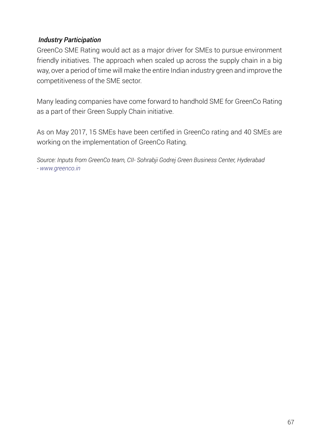#### *Industry Participation*

GreenCo SME Rating would act as a major driver for SMEs to pursue environment friendly initiatives. The approach when scaled up across the supply chain in a big way, over a period of time will make the entire Indian industry green and improve the competitiveness of the SME sector.

Many leading companies have come forward to handhold SME for GreenCo Rating as a part of their Green Supply Chain initiative.

As on May 2017, 15 SMEs have been certified in GreenCo rating and 40 SMEs are working on the implementation of GreenCo Rating.

*Source: Inputs from GreenCo team, CII- Sohrabji Godrej Green Business Center, Hyderabad - www.greenco.in*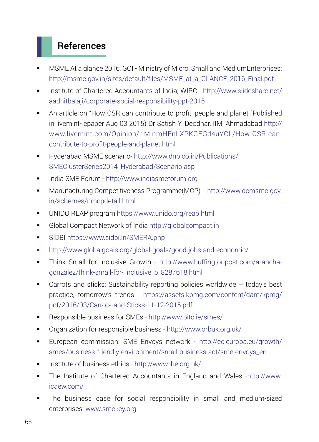## References

- MSME At a glance 2016, GOI Ministry of Micro, Small and MediumEnterprises: http://msme.gov.in/sites/default/files/MSME\_at\_a\_GLANCE\_2016\_Final.pdf
- Institute of Chartered Accountants of India; WIRC http://www.slideshare.net/ aadhitbalaji/corporate-social-responsibility-ppt-2015
- An article on "How CSR can contribute to profit, people and planet "Published in livemint- epaper Aug 03 2015) Dr Satish Y. Deodhar, IIM, Ahmadabad http:// www.livemint.com/Opinion/rIMlnmHFnLXPKGEGd4uYCL/How-CSR-cancontribute-to-profit-people-and-planet.html
- Hyderabad MSME scenario- http://www.dnb.co.in/Publications/ SMEClusterSeries2014\_Hyderabad/Scenario.asp
- India SME Forum http://www.indiasmeforum.org
- Manufacturing Competitiveness Programme(MCP) http://www.dcmsme.gov. in/schemes/nmcpdetail.html
- UNIDO REAP program https://www.unido.org/reap.html
- Global Compact Network of India http://globalcompact.in
- SIDBI https://www.sidbi.in/SMERA.php
- http://www.globalgoals.org/global-goals/good-jobs-and-economic/
- Think Small for Inclusive Growth http://www.huffingtonpost.com/aranchagonzalez/think-small-for- inclusive\_b\_8287618.html
- Carrots and sticks: Sustainability reporting policies worldwide today's best practice, tomorrow's trends - https://assets.kpmg.com/content/dam/kpmg/ pdf/2016/03/Carrots-and-Sticks-11-12-2015.pdf
- Responsible business for SMEs http://www.bitc.ie/smes/
- Organization for responsible business http://www.orbuk.org.uk/
- European commission: SME Envoys network http://ec.europa.eu/growth/ smes/business-friendly-environment/small-business-act/sme-envoys\_en
- Institute of business ethics http://www.ibe.org.uk/
- The Institute of Chartered Accountants in England and Wales -http://www. icaew.com/
- The business case for social responsibility in small and medium-sized enterprises; www.smekey.org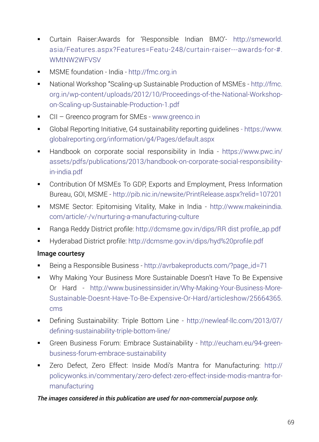- Curtain Raiser:Awards for 'Responsible Indian BMO'- http://smeworld. asia/Features.aspx?Features=Featu-248/curtain-raiser---awards-for-#. WMtNW2WFVSV
- **MSME** foundation India http://fmc.org.in
- National Workshop "Scaling-up Sustainable Production of MSMEs http://fmc. org.in/wp-content/uploads/2012/10/Proceedings-of-the-National-Workshopon-Scaling-up-Sustainable-Production-1.pdf
- CII Greenco program for SMEs www.greenco.in
- Global Reporting Initiative, G4 sustainability reporting guidelines https://www. globalreporting.org/information/g4/Pages/default.aspx
- Handbook on corporate social responsibility in India https://www.pwc.in/ assets/pdfs/publications/2013/handbook-on-corporate-social-responsibilityin-india.pdf
- **•** Contribution Of MSMEs To GDP, Exports and Employment, Press Information Bureau, GOI, MSME - http://pib.nic.in/newsite/PrintRelease.aspx?relid=107201
- MSME Sector: Epitomising Vitality, Make in India http://www.makeinindia. com/article/-/v/nurturing-a-manufacturing-culture
- Ranga Reddy District profile: http://dcmsme.gov.in/dips/RR dist profile\_ap.pdf
- Hyderabad District profile: http://dcmsme.gov.in/dips/hyd%20profile.pdf

# Image courtesy

- Being a Responsible Business http://avrbakeproducts.com/?page\_id=71
- Why Making Your Business More Sustainable Doesn't Have To Be Expensive Or Hard - http://www.businessinsider.in/Why-Making-Your-Business-More-Sustainable-Doesnt-Have-To-Be-Expensive-Or-Hard/articleshow/25664365. cms
- Defining Sustainability: Triple Bottom Line http://newleaf-llc.com/2013/07/ defining-sustainability-triple-bottom-line/
- Green Business Forum: Embrace Sustainability http://eucham.eu/94-greenbusiness-forum-embrace-sustainability
- Zero Defect, Zero Effect: Inside Modi's Mantra for Manufacturing: http:// policywonks.in/commentary/zero-defect-zero-effect-inside-modis-mantra-formanufacturing

### *The images considered in this publication are used for non-commercial purpose only.*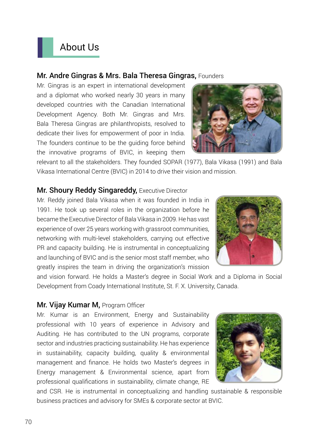# About Us

### Mr. Andre Gingras & Mrs. Bala Theresa Gingras, Founders

Mr. Gingras is an expert in international development and a diplomat who worked nearly 30 years in many developed countries with the Canadian International Development Agency. Both Mr. Gingras and Mrs. Bala Theresa Gingras are philanthropists, resolved to dedicate their lives for empowerment of poor in India. The founders continue to be the guiding force behind the innovative programs of BVIC, in keeping them



relevant to all the stakeholders. They founded SOPAR (1977), Bala Vikasa (1991) and Bala Vikasa International Centre (BVIC) in 2014 to drive their vision and mission.

# **Mr. Shoury Reddy Singareddy, Executive Director**

Mr. Reddy joined Bala Vikasa when it was founded in India in 1991. He took up several roles in the organization before he became the Executive Director of Bala Vikasa in 2009. He has vast experience of over 25 years working with grassroot communities, networking with multi-level stakeholders, carrying out effective PR and capacity building. He is instrumental in conceptualizing and launching of BVIC and is the senior most staff member, who greatly inspires the team in driving the organization's mission



and vision forward. He holds a Master's degree in Social Work and a Diploma in Social Development from Coady International Institute, St. F. X. University, Canada.

# Mr. Vijay Kumar M, Program Officer

Mr. Kumar is an Environment, Energy and Sustainability professional with 10 years of experience in Advisory and Auditing. He has contributed to the UN programs, corporate sector and industries practicing sustainability. He has experience in sustainability, capacity building, quality & environmental management and finance. He holds two Master's degrees in Energy management & Environmental science, apart from professional qualifications in sustainability, climate change, RE



and CSR. He is instrumental in conceptualizing and handling sustainable & responsible business practices and advisory for SMEs & corporate sector at BVIC.